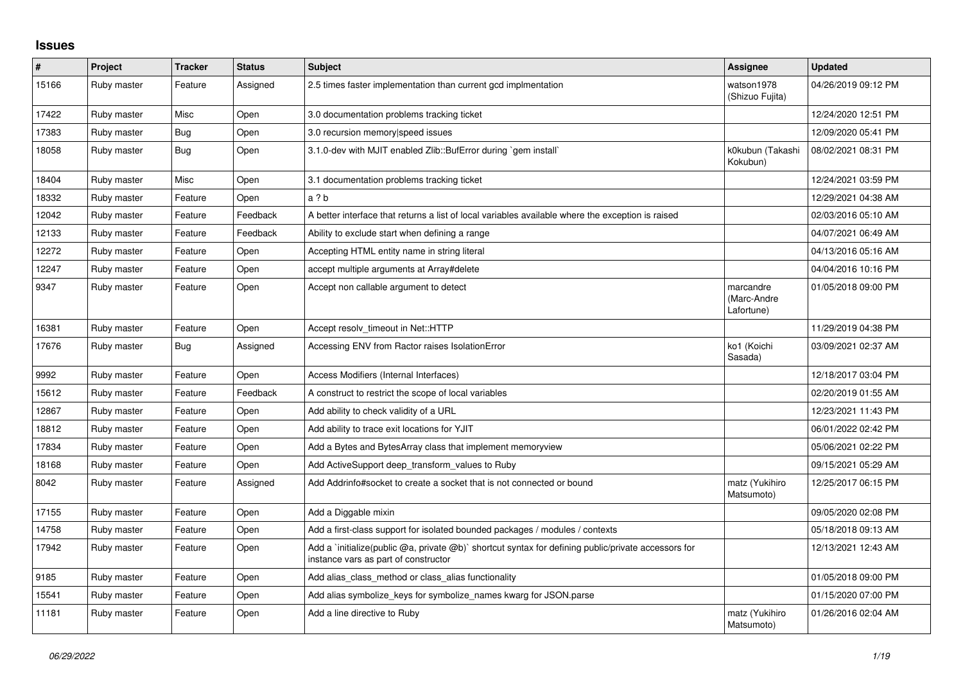## **Issues**

| $\pmb{\#}$ | Project     | <b>Tracker</b> | <b>Status</b> | <b>Subject</b>                                                                                                                                    | <b>Assignee</b>                        | <b>Updated</b>      |
|------------|-------------|----------------|---------------|---------------------------------------------------------------------------------------------------------------------------------------------------|----------------------------------------|---------------------|
| 15166      | Ruby master | Feature        | Assigned      | 2.5 times faster implementation than current gcd implmentation                                                                                    | watson1978<br>(Shizuo Fujita)          | 04/26/2019 09:12 PM |
| 17422      | Ruby master | Misc           | Open          | 3.0 documentation problems tracking ticket                                                                                                        |                                        | 12/24/2020 12:51 PM |
| 17383      | Ruby master | Bug            | Open          | 3.0 recursion memory speed issues                                                                                                                 |                                        | 12/09/2020 05:41 PM |
| 18058      | Ruby master | <b>Bug</b>     | Open          | 3.1.0-dev with MJIT enabled Zlib::BufError during `gem install`                                                                                   | k0kubun (Takashi<br>Kokubun)           | 08/02/2021 08:31 PM |
| 18404      | Ruby master | Misc           | Open          | 3.1 documentation problems tracking ticket                                                                                                        |                                        | 12/24/2021 03:59 PM |
| 18332      | Ruby master | Feature        | Open          | a?b                                                                                                                                               |                                        | 12/29/2021 04:38 AM |
| 12042      | Ruby master | Feature        | Feedback      | A better interface that returns a list of local variables available where the exception is raised                                                 |                                        | 02/03/2016 05:10 AM |
| 12133      | Ruby master | Feature        | Feedback      | Ability to exclude start when defining a range                                                                                                    |                                        | 04/07/2021 06:49 AM |
| 12272      | Ruby master | Feature        | Open          | Accepting HTML entity name in string literal                                                                                                      |                                        | 04/13/2016 05:16 AM |
| 12247      | Ruby master | Feature        | Open          | accept multiple arguments at Array#delete                                                                                                         |                                        | 04/04/2016 10:16 PM |
| 9347       | Ruby master | Feature        | Open          | Accept non callable argument to detect                                                                                                            | marcandre<br>(Marc-Andre<br>Lafortune) | 01/05/2018 09:00 PM |
| 16381      | Ruby master | Feature        | Open          | Accept resolv timeout in Net::HTTP                                                                                                                |                                        | 11/29/2019 04:38 PM |
| 17676      | Ruby master | Bug            | Assigned      | Accessing ENV from Ractor raises IsolationError                                                                                                   | ko1 (Koichi<br>Sasada)                 | 03/09/2021 02:37 AM |
| 9992       | Ruby master | Feature        | Open          | Access Modifiers (Internal Interfaces)                                                                                                            |                                        | 12/18/2017 03:04 PM |
| 15612      | Ruby master | Feature        | Feedback      | A construct to restrict the scope of local variables                                                                                              |                                        | 02/20/2019 01:55 AM |
| 12867      | Ruby master | Feature        | Open          | Add ability to check validity of a URL                                                                                                            |                                        | 12/23/2021 11:43 PM |
| 18812      | Ruby master | Feature        | Open          | Add ability to trace exit locations for YJIT                                                                                                      |                                        | 06/01/2022 02:42 PM |
| 17834      | Ruby master | Feature        | Open          | Add a Bytes and BytesArray class that implement memoryview                                                                                        |                                        | 05/06/2021 02:22 PM |
| 18168      | Ruby master | Feature        | Open          | Add ActiveSupport deep transform values to Ruby                                                                                                   |                                        | 09/15/2021 05:29 AM |
| 8042       | Ruby master | Feature        | Assigned      | Add Addrinfo#socket to create a socket that is not connected or bound                                                                             | matz (Yukihiro<br>Matsumoto)           | 12/25/2017 06:15 PM |
| 17155      | Ruby master | Feature        | Open          | Add a Diggable mixin                                                                                                                              |                                        | 09/05/2020 02:08 PM |
| 14758      | Ruby master | Feature        | Open          | Add a first-class support for isolated bounded packages / modules / contexts                                                                      |                                        | 05/18/2018 09:13 AM |
| 17942      | Ruby master | Feature        | Open          | Add a 'initialize(public $@a$ , private $@b$ )' shortcut syntax for defining public/private accessors for<br>instance vars as part of constructor |                                        | 12/13/2021 12:43 AM |
| 9185       | Ruby master | Feature        | Open          | Add alias class method or class alias functionality                                                                                               |                                        | 01/05/2018 09:00 PM |
| 15541      | Ruby master | Feature        | Open          | Add alias symbolize keys for symbolize names kwarg for JSON.parse                                                                                 |                                        | 01/15/2020 07:00 PM |
| 11181      | Ruby master | Feature        | Open          | Add a line directive to Ruby                                                                                                                      | matz (Yukihiro<br>Matsumoto)           | 01/26/2016 02:04 AM |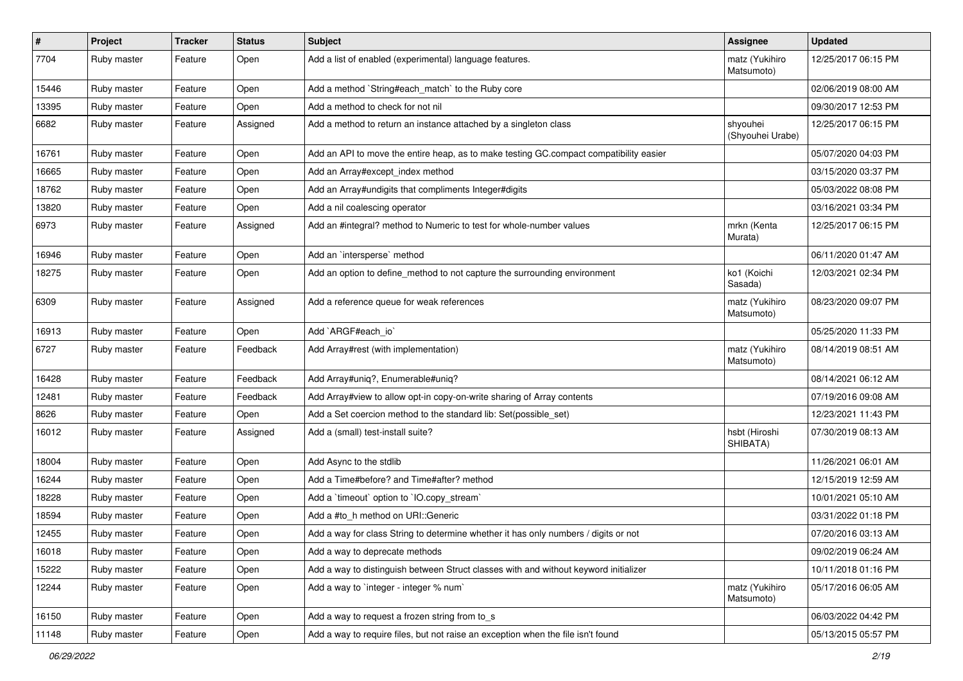| $\sharp$ | Project     | Tracker | <b>Status</b> | <b>Subject</b>                                                                         | <b>Assignee</b>              | <b>Updated</b>      |
|----------|-------------|---------|---------------|----------------------------------------------------------------------------------------|------------------------------|---------------------|
| 7704     | Ruby master | Feature | Open          | Add a list of enabled (experimental) language features.                                | matz (Yukihiro<br>Matsumoto) | 12/25/2017 06:15 PM |
| 15446    | Ruby master | Feature | Open          | Add a method `String#each_match` to the Ruby core                                      |                              | 02/06/2019 08:00 AM |
| 13395    | Ruby master | Feature | Open          | Add a method to check for not nil                                                      |                              | 09/30/2017 12:53 PM |
| 6682     | Ruby master | Feature | Assigned      | Add a method to return an instance attached by a singleton class                       | shyouhei<br>(Shyouhei Urabe) | 12/25/2017 06:15 PM |
| 16761    | Ruby master | Feature | Open          | Add an API to move the entire heap, as to make testing GC.compact compatibility easier |                              | 05/07/2020 04:03 PM |
| 16665    | Ruby master | Feature | Open          | Add an Array#except_index method                                                       |                              | 03/15/2020 03:37 PM |
| 18762    | Ruby master | Feature | Open          | Add an Array#undigits that compliments Integer#digits                                  |                              | 05/03/2022 08:08 PM |
| 13820    | Ruby master | Feature | Open          | Add a nil coalescing operator                                                          |                              | 03/16/2021 03:34 PM |
| 6973     | Ruby master | Feature | Assigned      | Add an #integral? method to Numeric to test for whole-number values                    | mrkn (Kenta<br>Murata)       | 12/25/2017 06:15 PM |
| 16946    | Ruby master | Feature | Open          | Add an `intersperse` method                                                            |                              | 06/11/2020 01:47 AM |
| 18275    | Ruby master | Feature | Open          | Add an option to define_method to not capture the surrounding environment              | ko1 (Koichi<br>Sasada)       | 12/03/2021 02:34 PM |
| 6309     | Ruby master | Feature | Assigned      | Add a reference queue for weak references                                              | matz (Yukihiro<br>Matsumoto) | 08/23/2020 09:07 PM |
| 16913    | Ruby master | Feature | Open          | Add `ARGF#each_io`                                                                     |                              | 05/25/2020 11:33 PM |
| 6727     | Ruby master | Feature | Feedback      | Add Array#rest (with implementation)                                                   | matz (Yukihiro<br>Matsumoto) | 08/14/2019 08:51 AM |
| 16428    | Ruby master | Feature | Feedback      | Add Array#uniq?, Enumerable#uniq?                                                      |                              | 08/14/2021 06:12 AM |
| 12481    | Ruby master | Feature | Feedback      | Add Array#view to allow opt-in copy-on-write sharing of Array contents                 |                              | 07/19/2016 09:08 AM |
| 8626     | Ruby master | Feature | Open          | Add a Set coercion method to the standard lib: Set(possible_set)                       |                              | 12/23/2021 11:43 PM |
| 16012    | Ruby master | Feature | Assigned      | Add a (small) test-install suite?                                                      | hsbt (Hiroshi<br>SHIBATA)    | 07/30/2019 08:13 AM |
| 18004    | Ruby master | Feature | Open          | Add Async to the stdlib                                                                |                              | 11/26/2021 06:01 AM |
| 16244    | Ruby master | Feature | Open          | Add a Time#before? and Time#after? method                                              |                              | 12/15/2019 12:59 AM |
| 18228    | Ruby master | Feature | Open          | Add a 'timeout' option to 'IO.copy_stream'                                             |                              | 10/01/2021 05:10 AM |
| 18594    | Ruby master | Feature | Open          | Add a #to_h method on URI::Generic                                                     |                              | 03/31/2022 01:18 PM |
| 12455    | Ruby master | Feature | Open          | Add a way for class String to determine whether it has only numbers / digits or not    |                              | 07/20/2016 03:13 AM |
| 16018    | Ruby master | Feature | Open          | Add a way to deprecate methods                                                         |                              | 09/02/2019 06:24 AM |
| 15222    | Ruby master | Feature | Open          | Add a way to distinguish between Struct classes with and without keyword initializer   |                              | 10/11/2018 01:16 PM |
| 12244    | Ruby master | Feature | Open          | Add a way to 'integer - integer % num'                                                 | matz (Yukihiro<br>Matsumoto) | 05/17/2016 06:05 AM |
| 16150    | Ruby master | Feature | Open          | Add a way to request a frozen string from to s                                         |                              | 06/03/2022 04:42 PM |
| 11148    | Ruby master | Feature | Open          | Add a way to require files, but not raise an exception when the file isn't found       |                              | 05/13/2015 05:57 PM |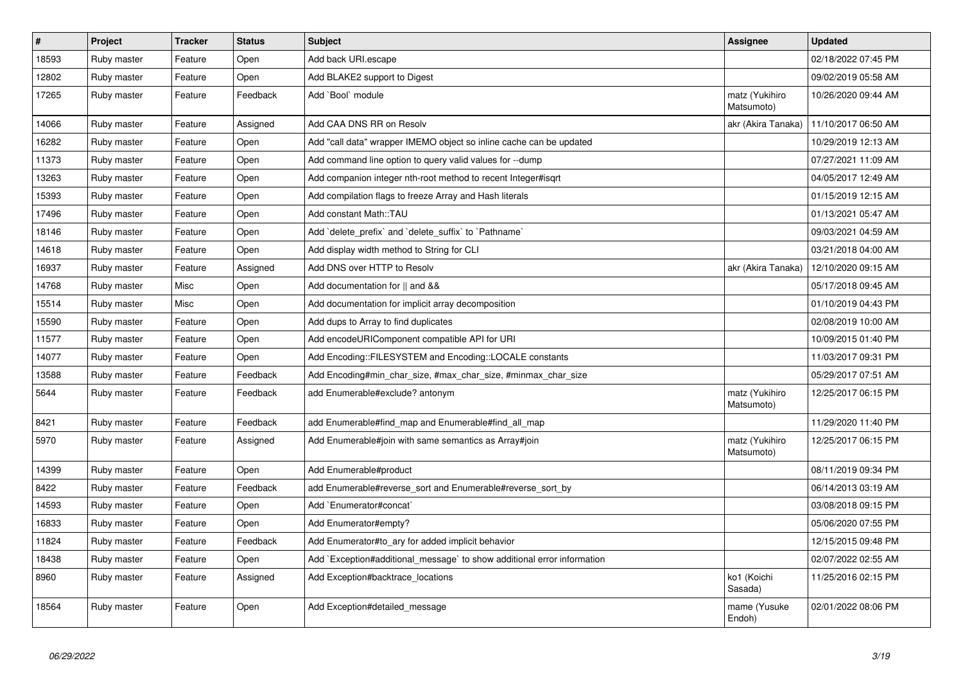| $\pmb{\#}$ | Project     | <b>Tracker</b> | <b>Status</b> | <b>Subject</b>                                                          | Assignee                     | <b>Updated</b>      |
|------------|-------------|----------------|---------------|-------------------------------------------------------------------------|------------------------------|---------------------|
| 18593      | Ruby master | Feature        | Open          | Add back URI.escape                                                     |                              | 02/18/2022 07:45 PM |
| 12802      | Ruby master | Feature        | Open          | Add BLAKE2 support to Digest                                            |                              | 09/02/2019 05:58 AM |
| 17265      | Ruby master | Feature        | Feedback      | Add `Bool` module                                                       | matz (Yukihiro<br>Matsumoto) | 10/26/2020 09:44 AM |
| 14066      | Ruby master | Feature        | Assigned      | Add CAA DNS RR on Resolv                                                | akr (Akira Tanaka)           | 11/10/2017 06:50 AM |
| 16282      | Ruby master | Feature        | Open          | Add "call data" wrapper IMEMO object so inline cache can be updated     |                              | 10/29/2019 12:13 AM |
| 11373      | Ruby master | Feature        | Open          | Add command line option to query valid values for --dump                |                              | 07/27/2021 11:09 AM |
| 13263      | Ruby master | Feature        | Open          | Add companion integer nth-root method to recent Integer#isqrt           |                              | 04/05/2017 12:49 AM |
| 15393      | Ruby master | Feature        | Open          | Add compilation flags to freeze Array and Hash literals                 |                              | 01/15/2019 12:15 AM |
| 17496      | Ruby master | Feature        | Open          | Add constant Math::TAU                                                  |                              | 01/13/2021 05:47 AM |
| 18146      | Ruby master | Feature        | Open          | Add `delete_prefix` and `delete_suffix` to `Pathname`                   |                              | 09/03/2021 04:59 AM |
| 14618      | Ruby master | Feature        | Open          | Add display width method to String for CLI                              |                              | 03/21/2018 04:00 AM |
| 16937      | Ruby master | Feature        | Assigned      | Add DNS over HTTP to Resolv                                             | akr (Akira Tanaka)           | 12/10/2020 09:15 AM |
| 14768      | Ruby master | Misc           | Open          | Add documentation for    and &&                                         |                              | 05/17/2018 09:45 AM |
| 15514      | Ruby master | Misc           | Open          | Add documentation for implicit array decomposition                      |                              | 01/10/2019 04:43 PM |
| 15590      | Ruby master | Feature        | Open          | Add dups to Array to find duplicates                                    |                              | 02/08/2019 10:00 AM |
| 11577      | Ruby master | Feature        | Open          | Add encodeURIComponent compatible API for URI                           |                              | 10/09/2015 01:40 PM |
| 14077      | Ruby master | Feature        | Open          | Add Encoding::FILESYSTEM and Encoding::LOCALE constants                 |                              | 11/03/2017 09:31 PM |
| 13588      | Ruby master | Feature        | Feedback      | Add Encoding#min char size, #max char size, #minmax char size           |                              | 05/29/2017 07:51 AM |
| 5644       | Ruby master | Feature        | Feedback      | add Enumerable#exclude? antonym                                         | matz (Yukihiro<br>Matsumoto) | 12/25/2017 06:15 PM |
| 8421       | Ruby master | Feature        | Feedback      | add Enumerable#find map and Enumerable#find all map                     |                              | 11/29/2020 11:40 PM |
| 5970       | Ruby master | Feature        | Assigned      | Add Enumerable#join with same semantics as Array#join                   | matz (Yukihiro<br>Matsumoto) | 12/25/2017 06:15 PM |
| 14399      | Ruby master | Feature        | Open          | Add Enumerable#product                                                  |                              | 08/11/2019 09:34 PM |
| 8422       | Ruby master | Feature        | Feedback      | add Enumerable#reverse_sort and Enumerable#reverse_sort_by              |                              | 06/14/2013 03:19 AM |
| 14593      | Ruby master | Feature        | Open          | Add `Enumerator#concat`                                                 |                              | 03/08/2018 09:15 PM |
| 16833      | Ruby master | Feature        | Open          | Add Enumerator#empty?                                                   |                              | 05/06/2020 07:55 PM |
| 11824      | Ruby master | Feature        | Feedback      | Add Enumerator#to_ary for added implicit behavior                       |                              | 12/15/2015 09:48 PM |
| 18438      | Ruby master | Feature        | Open          | Add `Exception#additional_message` to show additional error information |                              | 02/07/2022 02:55 AM |
| 8960       | Ruby master | Feature        | Assigned      | Add Exception#backtrace locations                                       | ko1 (Koichi<br>Sasada)       | 11/25/2016 02:15 PM |
| 18564      | Ruby master | Feature        | Open          | Add Exception#detailed_message                                          | mame (Yusuke<br>Endoh)       | 02/01/2022 08:06 PM |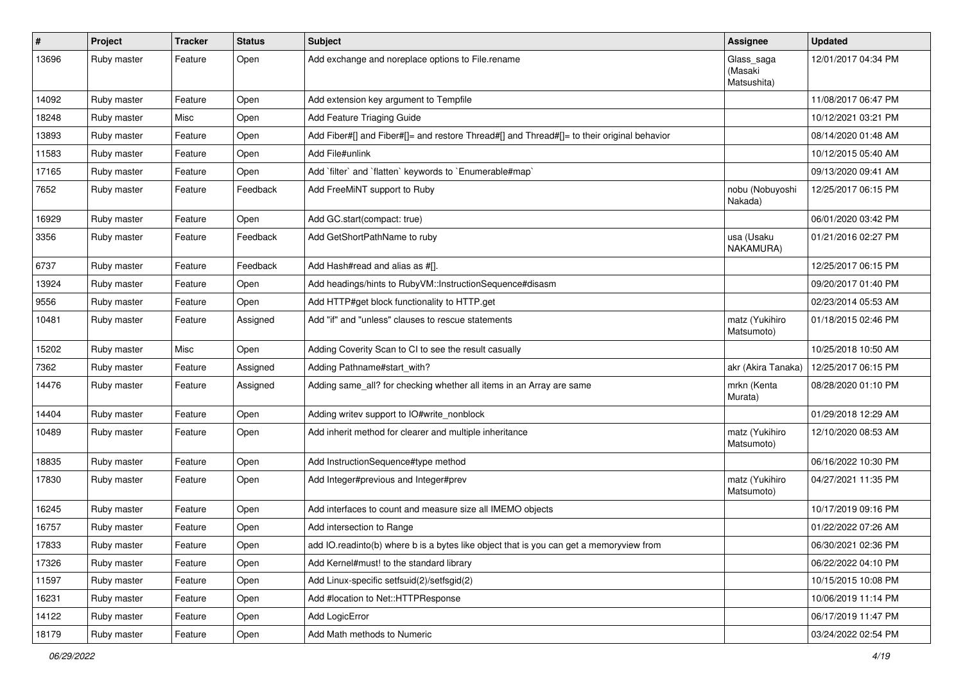| #     | Project     | <b>Tracker</b> | <b>Status</b> | <b>Subject</b>                                                                             | <b>Assignee</b>                      | <b>Updated</b>      |
|-------|-------------|----------------|---------------|--------------------------------------------------------------------------------------------|--------------------------------------|---------------------|
| 13696 | Ruby master | Feature        | Open          | Add exchange and noreplace options to File.rename                                          | Glass_saga<br>(Masaki<br>Matsushita) | 12/01/2017 04:34 PM |
| 14092 | Ruby master | Feature        | Open          | Add extension key argument to Tempfile                                                     |                                      | 11/08/2017 06:47 PM |
| 18248 | Ruby master | Misc           | Open          | Add Feature Triaging Guide                                                                 |                                      | 10/12/2021 03:21 PM |
| 13893 | Ruby master | Feature        | Open          | Add Fiber#[] and Fiber#[]= and restore Thread#[] and Thread#[]= to their original behavior |                                      | 08/14/2020 01:48 AM |
| 11583 | Ruby master | Feature        | Open          | Add File#unlink                                                                            |                                      | 10/12/2015 05:40 AM |
| 17165 | Ruby master | Feature        | Open          | Add `filter` and `flatten` keywords to `Enumerable#map`                                    |                                      | 09/13/2020 09:41 AM |
| 7652  | Ruby master | Feature        | Feedback      | Add FreeMiNT support to Ruby                                                               | nobu (Nobuyoshi<br>Nakada)           | 12/25/2017 06:15 PM |
| 16929 | Ruby master | Feature        | Open          | Add GC.start(compact: true)                                                                |                                      | 06/01/2020 03:42 PM |
| 3356  | Ruby master | Feature        | Feedback      | Add GetShortPathName to ruby                                                               | usa (Usaku<br>NAKAMURA)              | 01/21/2016 02:27 PM |
| 6737  | Ruby master | Feature        | Feedback      | Add Hash#read and alias as #[].                                                            |                                      | 12/25/2017 06:15 PM |
| 13924 | Ruby master | Feature        | Open          | Add headings/hints to RubyVM::InstructionSequence#disasm                                   |                                      | 09/20/2017 01:40 PM |
| 9556  | Ruby master | Feature        | Open          | Add HTTP#get block functionality to HTTP.get                                               |                                      | 02/23/2014 05:53 AM |
| 10481 | Ruby master | Feature        | Assigned      | Add "if" and "unless" clauses to rescue statements                                         | matz (Yukihiro<br>Matsumoto)         | 01/18/2015 02:46 PM |
| 15202 | Ruby master | Misc           | Open          | Adding Coverity Scan to CI to see the result casually                                      |                                      | 10/25/2018 10:50 AM |
| 7362  | Ruby master | Feature        | Assigned      | Adding Pathname#start_with?                                                                | akr (Akira Tanaka)                   | 12/25/2017 06:15 PM |
| 14476 | Ruby master | Feature        | Assigned      | Adding same_all? for checking whether all items in an Array are same                       | mrkn (Kenta<br>Murata)               | 08/28/2020 01:10 PM |
| 14404 | Ruby master | Feature        | Open          | Adding writev support to IO#write_nonblock                                                 |                                      | 01/29/2018 12:29 AM |
| 10489 | Ruby master | Feature        | Open          | Add inherit method for clearer and multiple inheritance                                    | matz (Yukihiro<br>Matsumoto)         | 12/10/2020 08:53 AM |
| 18835 | Ruby master | Feature        | Open          | Add InstructionSequence#type method                                                        |                                      | 06/16/2022 10:30 PM |
| 17830 | Ruby master | Feature        | Open          | Add Integer#previous and Integer#prev                                                      | matz (Yukihiro<br>Matsumoto)         | 04/27/2021 11:35 PM |
| 16245 | Ruby master | Feature        | Open          | Add interfaces to count and measure size all IMEMO objects                                 |                                      | 10/17/2019 09:16 PM |
| 16757 | Ruby master | Feature        | Open          | Add intersection to Range                                                                  |                                      | 01/22/2022 07:26 AM |
| 17833 | Ruby master | Feature        | Open          | add IO.readinto(b) where b is a bytes like object that is you can get a memoryview from    |                                      | 06/30/2021 02:36 PM |
| 17326 | Ruby master | Feature        | Open          | Add Kernel#must! to the standard library                                                   |                                      | 06/22/2022 04:10 PM |
| 11597 | Ruby master | Feature        | Open          | Add Linux-specific setfsuid(2)/setfsgid(2)                                                 |                                      | 10/15/2015 10:08 PM |
| 16231 | Ruby master | Feature        | Open          | Add #location to Net::HTTPResponse                                                         |                                      | 10/06/2019 11:14 PM |
| 14122 | Ruby master | Feature        | Open          | Add LogicError                                                                             |                                      | 06/17/2019 11:47 PM |
| 18179 | Ruby master | Feature        | Open          | Add Math methods to Numeric                                                                |                                      | 03/24/2022 02:54 PM |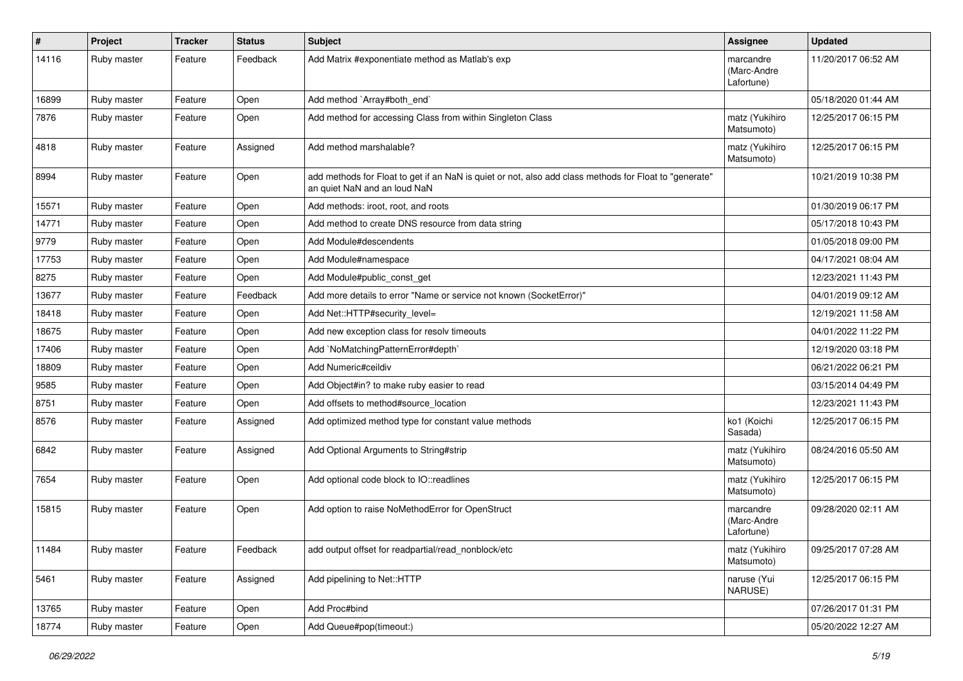| #     | Project     | <b>Tracker</b> | <b>Status</b> | <b>Subject</b>                                                                                                                         | <b>Assignee</b>                        | <b>Updated</b>      |
|-------|-------------|----------------|---------------|----------------------------------------------------------------------------------------------------------------------------------------|----------------------------------------|---------------------|
| 14116 | Ruby master | Feature        | Feedback      | Add Matrix #exponentiate method as Matlab's exp                                                                                        | marcandre<br>(Marc-Andre<br>Lafortune) | 11/20/2017 06:52 AM |
| 16899 | Ruby master | Feature        | Open          | Add method `Array#both_end`                                                                                                            |                                        | 05/18/2020 01:44 AM |
| 7876  | Ruby master | Feature        | Open          | Add method for accessing Class from within Singleton Class                                                                             | matz (Yukihiro<br>Matsumoto)           | 12/25/2017 06:15 PM |
| 4818  | Ruby master | Feature        | Assigned      | Add method marshalable?                                                                                                                | matz (Yukihiro<br>Matsumoto)           | 12/25/2017 06:15 PM |
| 8994  | Ruby master | Feature        | Open          | add methods for Float to get if an NaN is quiet or not, also add class methods for Float to "generate"<br>an quiet NaN and an loud NaN |                                        | 10/21/2019 10:38 PM |
| 15571 | Ruby master | Feature        | Open          | Add methods: iroot, root, and roots                                                                                                    |                                        | 01/30/2019 06:17 PM |
| 14771 | Ruby master | Feature        | Open          | Add method to create DNS resource from data string                                                                                     |                                        | 05/17/2018 10:43 PM |
| 9779  | Ruby master | Feature        | Open          | Add Module#descendents                                                                                                                 |                                        | 01/05/2018 09:00 PM |
| 17753 | Ruby master | Feature        | Open          | Add Module#namespace                                                                                                                   |                                        | 04/17/2021 08:04 AM |
| 8275  | Ruby master | Feature        | Open          | Add Module#public_const_get                                                                                                            |                                        | 12/23/2021 11:43 PM |
| 13677 | Ruby master | Feature        | Feedback      | Add more details to error "Name or service not known (SocketError)"                                                                    |                                        | 04/01/2019 09:12 AM |
| 18418 | Ruby master | Feature        | Open          | Add Net::HTTP#security_level=                                                                                                          |                                        | 12/19/2021 11:58 AM |
| 18675 | Ruby master | Feature        | Open          | Add new exception class for resolv timeouts                                                                                            |                                        | 04/01/2022 11:22 PM |
| 17406 | Ruby master | Feature        | Open          | Add `NoMatchingPatternError#depth`                                                                                                     |                                        | 12/19/2020 03:18 PM |
| 18809 | Ruby master | Feature        | Open          | Add Numeric#ceildiv                                                                                                                    |                                        | 06/21/2022 06:21 PM |
| 9585  | Ruby master | Feature        | Open          | Add Object#in? to make ruby easier to read                                                                                             |                                        | 03/15/2014 04:49 PM |
| 8751  | Ruby master | Feature        | Open          | Add offsets to method#source_location                                                                                                  |                                        | 12/23/2021 11:43 PM |
| 8576  | Ruby master | Feature        | Assigned      | Add optimized method type for constant value methods                                                                                   | ko1 (Koichi<br>Sasada)                 | 12/25/2017 06:15 PM |
| 6842  | Ruby master | Feature        | Assigned      | Add Optional Arguments to String#strip                                                                                                 | matz (Yukihiro<br>Matsumoto)           | 08/24/2016 05:50 AM |
| 7654  | Ruby master | Feature        | Open          | Add optional code block to IO::readlines                                                                                               | matz (Yukihiro<br>Matsumoto)           | 12/25/2017 06:15 PM |
| 15815 | Ruby master | Feature        | Open          | Add option to raise NoMethodError for OpenStruct                                                                                       | marcandre<br>(Marc-Andre<br>Lafortune) | 09/28/2020 02:11 AM |
| 11484 | Ruby master | Feature        | Feedback      | add output offset for readpartial/read_nonblock/etc                                                                                    | matz (Yukihiro<br>Matsumoto)           | 09/25/2017 07:28 AM |
| 5461  | Ruby master | Feature        | Assigned      | Add pipelining to Net::HTTP                                                                                                            | naruse (Yui<br>NARUSE)                 | 12/25/2017 06:15 PM |
| 13765 | Ruby master | Feature        | Open          | Add Proc#bind                                                                                                                          |                                        | 07/26/2017 01:31 PM |
| 18774 | Ruby master | Feature        | Open          | Add Queue#pop(timeout:)                                                                                                                |                                        | 05/20/2022 12:27 AM |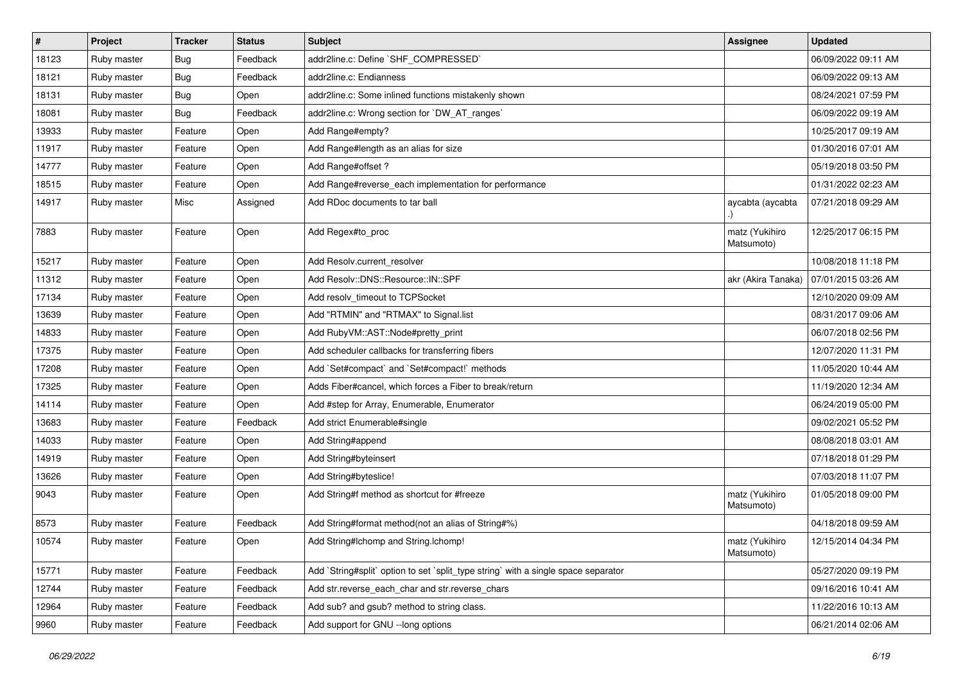| #     | Project     | <b>Tracker</b> | <b>Status</b> | <b>Subject</b>                                                                     | <b>Assignee</b>              | <b>Updated</b>      |
|-------|-------------|----------------|---------------|------------------------------------------------------------------------------------|------------------------------|---------------------|
| 18123 | Ruby master | Bug            | Feedback      | addr2line.c: Define `SHF_COMPRESSED`                                               |                              | 06/09/2022 09:11 AM |
| 18121 | Ruby master | Bug            | Feedback      | addr2line.c: Endianness                                                            |                              | 06/09/2022 09:13 AM |
| 18131 | Ruby master | Bug            | Open          | addr2line.c: Some inlined functions mistakenly shown                               |                              | 08/24/2021 07:59 PM |
| 18081 | Ruby master | Bug            | Feedback      | addr2line.c: Wrong section for `DW_AT_ranges`                                      |                              | 06/09/2022 09:19 AM |
| 13933 | Ruby master | Feature        | Open          | Add Range#empty?                                                                   |                              | 10/25/2017 09:19 AM |
| 11917 | Ruby master | Feature        | Open          | Add Range#length as an alias for size                                              |                              | 01/30/2016 07:01 AM |
| 14777 | Ruby master | Feature        | Open          | Add Range#offset?                                                                  |                              | 05/19/2018 03:50 PM |
| 18515 | Ruby master | Feature        | Open          | Add Range#reverse_each implementation for performance                              |                              | 01/31/2022 02:23 AM |
| 14917 | Ruby master | Misc           | Assigned      | Add RDoc documents to tar ball                                                     | aycabta (aycabta             | 07/21/2018 09:29 AM |
| 7883  | Ruby master | Feature        | Open          | Add Regex#to_proc                                                                  | matz (Yukihiro<br>Matsumoto) | 12/25/2017 06:15 PM |
| 15217 | Ruby master | Feature        | Open          | Add Resolv.current resolver                                                        |                              | 10/08/2018 11:18 PM |
| 11312 | Ruby master | Feature        | Open          | Add Resolv::DNS::Resource::IN::SPF                                                 | akr (Akira Tanaka)           | 07/01/2015 03:26 AM |
| 17134 | Ruby master | Feature        | Open          | Add resolv_timeout to TCPSocket                                                    |                              | 12/10/2020 09:09 AM |
| 13639 | Ruby master | Feature        | Open          | Add "RTMIN" and "RTMAX" to Signal.list                                             |                              | 08/31/2017 09:06 AM |
| 14833 | Ruby master | Feature        | Open          | Add RubyVM::AST::Node#pretty_print                                                 |                              | 06/07/2018 02:56 PM |
| 17375 | Ruby master | Feature        | Open          | Add scheduler callbacks for transferring fibers                                    |                              | 12/07/2020 11:31 PM |
| 17208 | Ruby master | Feature        | Open          | Add `Set#compact` and `Set#compact!` methods                                       |                              | 11/05/2020 10:44 AM |
| 17325 | Ruby master | Feature        | Open          | Adds Fiber#cancel, which forces a Fiber to break/return                            |                              | 11/19/2020 12:34 AM |
| 14114 | Ruby master | Feature        | Open          | Add #step for Array, Enumerable, Enumerator                                        |                              | 06/24/2019 05:00 PM |
| 13683 | Ruby master | Feature        | Feedback      | Add strict Enumerable#single                                                       |                              | 09/02/2021 05:52 PM |
| 14033 | Ruby master | Feature        | Open          | Add String#append                                                                  |                              | 08/08/2018 03:01 AM |
| 14919 | Ruby master | Feature        | Open          | Add String#byteinsert                                                              |                              | 07/18/2018 01:29 PM |
| 13626 | Ruby master | Feature        | Open          | Add String#byteslice!                                                              |                              | 07/03/2018 11:07 PM |
| 9043  | Ruby master | Feature        | Open          | Add String#f method as shortcut for #freeze                                        | matz (Yukihiro<br>Matsumoto) | 01/05/2018 09:00 PM |
| 8573  | Ruby master | Feature        | Feedback      | Add String#format method(not an alias of String#%)                                 |                              | 04/18/2018 09:59 AM |
| 10574 | Ruby master | Feature        | Open          | Add String#Ichomp and String.Ichomp!                                               | matz (Yukihiro<br>Matsumoto) | 12/15/2014 04:34 PM |
| 15771 | Ruby master | Feature        | Feedback      | Add `String#split` option to set `split_type string` with a single space separator |                              | 05/27/2020 09:19 PM |
| 12744 | Ruby master | Feature        | Feedback      | Add str.reverse_each_char and str.reverse_chars                                    |                              | 09/16/2016 10:41 AM |
| 12964 | Ruby master | Feature        | Feedback      | Add sub? and gsub? method to string class.                                         |                              | 11/22/2016 10:13 AM |
| 9960  | Ruby master | Feature        | Feedback      | Add support for GNU --long options                                                 |                              | 06/21/2014 02:06 AM |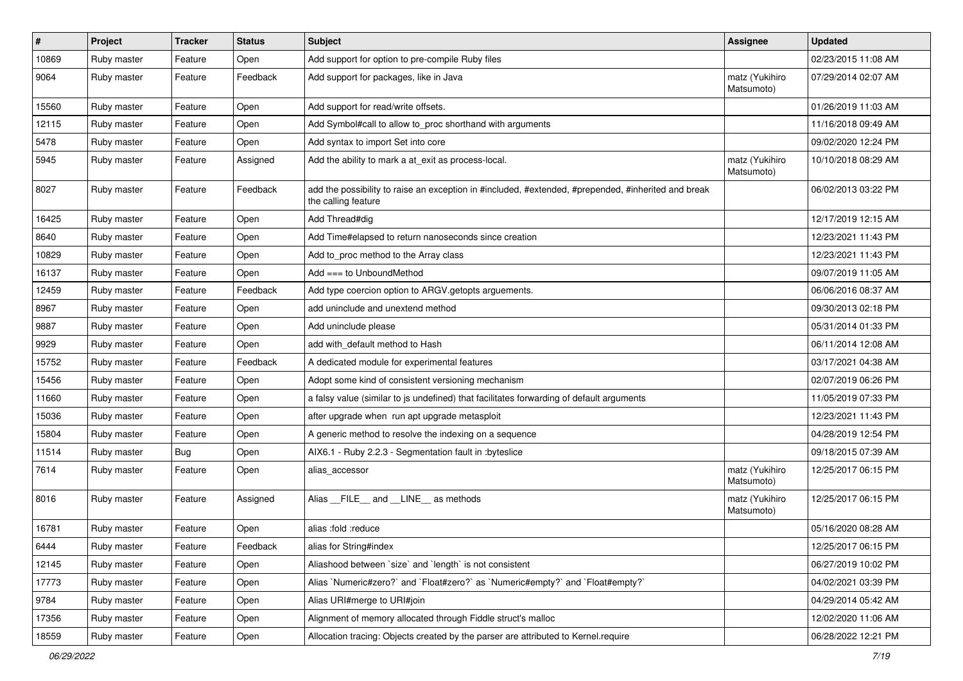| $\sharp$ | Project     | Tracker | <b>Status</b> | <b>Subject</b>                                                                                                             | <b>Assignee</b>              | <b>Updated</b>      |
|----------|-------------|---------|---------------|----------------------------------------------------------------------------------------------------------------------------|------------------------------|---------------------|
| 10869    | Ruby master | Feature | Open          | Add support for option to pre-compile Ruby files                                                                           |                              | 02/23/2015 11:08 AM |
| 9064     | Ruby master | Feature | Feedback      | Add support for packages, like in Java                                                                                     | matz (Yukihiro<br>Matsumoto) | 07/29/2014 02:07 AM |
| 15560    | Ruby master | Feature | Open          | Add support for read/write offsets.                                                                                        |                              | 01/26/2019 11:03 AM |
| 12115    | Ruby master | Feature | Open          | Add Symbol#call to allow to_proc shorthand with arguments                                                                  |                              | 11/16/2018 09:49 AM |
| 5478     | Ruby master | Feature | Open          | Add syntax to import Set into core                                                                                         |                              | 09/02/2020 12:24 PM |
| 5945     | Ruby master | Feature | Assigned      | Add the ability to mark a at_exit as process-local.                                                                        | matz (Yukihiro<br>Matsumoto) | 10/10/2018 08:29 AM |
| 8027     | Ruby master | Feature | Feedback      | add the possibility to raise an exception in #included, #extended, #prepended, #inherited and break<br>the calling feature |                              | 06/02/2013 03:22 PM |
| 16425    | Ruby master | Feature | Open          | Add Thread#dig                                                                                                             |                              | 12/17/2019 12:15 AM |
| 8640     | Ruby master | Feature | Open          | Add Time#elapsed to return nanoseconds since creation                                                                      |                              | 12/23/2021 11:43 PM |
| 10829    | Ruby master | Feature | Open          | Add to_proc method to the Array class                                                                                      |                              | 12/23/2021 11:43 PM |
| 16137    | Ruby master | Feature | Open          | Add === to UnboundMethod                                                                                                   |                              | 09/07/2019 11:05 AM |
| 12459    | Ruby master | Feature | Feedback      | Add type coercion option to ARGV getopts arguements.                                                                       |                              | 06/06/2016 08:37 AM |
| 8967     | Ruby master | Feature | Open          | add uninclude and unextend method                                                                                          |                              | 09/30/2013 02:18 PM |
| 9887     | Ruby master | Feature | Open          | Add uninclude please                                                                                                       |                              | 05/31/2014 01:33 PM |
| 9929     | Ruby master | Feature | Open          | add with_default method to Hash                                                                                            |                              | 06/11/2014 12:08 AM |
| 15752    | Ruby master | Feature | Feedback      | A dedicated module for experimental features                                                                               |                              | 03/17/2021 04:38 AM |
| 15456    | Ruby master | Feature | Open          | Adopt some kind of consistent versioning mechanism                                                                         |                              | 02/07/2019 06:26 PM |
| 11660    | Ruby master | Feature | Open          | a falsy value (similar to js undefined) that facilitates forwarding of default arguments                                   |                              | 11/05/2019 07:33 PM |
| 15036    | Ruby master | Feature | Open          | after upgrade when run apt upgrade metasploit                                                                              |                              | 12/23/2021 11:43 PM |
| 15804    | Ruby master | Feature | Open          | A generic method to resolve the indexing on a sequence                                                                     |                              | 04/28/2019 12:54 PM |
| 11514    | Ruby master | Bug     | Open          | AIX6.1 - Ruby 2.2.3 - Segmentation fault in :byteslice                                                                     |                              | 09/18/2015 07:39 AM |
| 7614     | Ruby master | Feature | Open          | alias_accessor                                                                                                             | matz (Yukihiro<br>Matsumoto) | 12/25/2017 06:15 PM |
| 8016     | Ruby master | Feature | Assigned      | Alias FILE and LINE as methods                                                                                             | matz (Yukihiro<br>Matsumoto) | 12/25/2017 06:15 PM |
| 16781    | Ruby master | Feature | Open          | alias :fold :reduce                                                                                                        |                              | 05/16/2020 08:28 AM |
| 6444     | Ruby master | Feature | Feedback      | alias for String#index                                                                                                     |                              | 12/25/2017 06:15 PM |
| 12145    | Ruby master | Feature | Open          | Aliashood between 'size' and 'length' is not consistent                                                                    |                              | 06/27/2019 10:02 PM |
| 17773    | Ruby master | Feature | Open          | Alias `Numeric#zero?` and `Float#zero?` as `Numeric#empty?` and `Float#empty?`                                             |                              | 04/02/2021 03:39 PM |
| 9784     | Ruby master | Feature | Open          | Alias URI#merge to URI#join                                                                                                |                              | 04/29/2014 05:42 AM |
| 17356    | Ruby master | Feature | Open          | Alignment of memory allocated through Fiddle struct's malloc                                                               |                              | 12/02/2020 11:06 AM |
| 18559    | Ruby master | Feature | Open          | Allocation tracing: Objects created by the parser are attributed to Kernel.require                                         |                              | 06/28/2022 12:21 PM |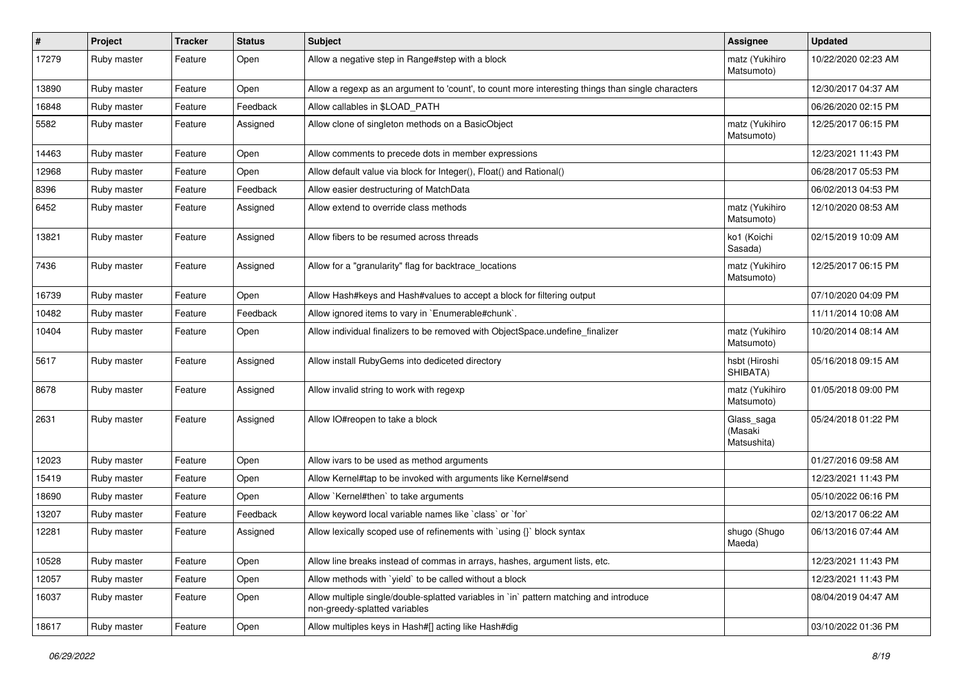| #     | Project     | <b>Tracker</b> | <b>Status</b> | <b>Subject</b>                                                                                                          | Assignee                             | <b>Updated</b>      |
|-------|-------------|----------------|---------------|-------------------------------------------------------------------------------------------------------------------------|--------------------------------------|---------------------|
| 17279 | Ruby master | Feature        | Open          | Allow a negative step in Range#step with a block                                                                        | matz (Yukihiro<br>Matsumoto)         | 10/22/2020 02:23 AM |
| 13890 | Ruby master | Feature        | Open          | Allow a regexp as an argument to 'count', to count more interesting things than single characters                       |                                      | 12/30/2017 04:37 AM |
| 16848 | Ruby master | Feature        | Feedback      | Allow callables in \$LOAD PATH                                                                                          |                                      | 06/26/2020 02:15 PM |
| 5582  | Ruby master | Feature        | Assigned      | Allow clone of singleton methods on a BasicObject                                                                       | matz (Yukihiro<br>Matsumoto)         | 12/25/2017 06:15 PM |
| 14463 | Ruby master | Feature        | Open          | Allow comments to precede dots in member expressions                                                                    |                                      | 12/23/2021 11:43 PM |
| 12968 | Ruby master | Feature        | Open          | Allow default value via block for Integer(), Float() and Rational()                                                     |                                      | 06/28/2017 05:53 PM |
| 8396  | Ruby master | Feature        | Feedback      | Allow easier destructuring of MatchData                                                                                 |                                      | 06/02/2013 04:53 PM |
| 6452  | Ruby master | Feature        | Assigned      | Allow extend to override class methods                                                                                  | matz (Yukihiro<br>Matsumoto)         | 12/10/2020 08:53 AM |
| 13821 | Ruby master | Feature        | Assigned      | Allow fibers to be resumed across threads                                                                               | ko1 (Koichi<br>Sasada)               | 02/15/2019 10:09 AM |
| 7436  | Ruby master | Feature        | Assigned      | Allow for a "granularity" flag for backtrace_locations                                                                  | matz (Yukihiro<br>Matsumoto)         | 12/25/2017 06:15 PM |
| 16739 | Ruby master | Feature        | Open          | Allow Hash#keys and Hash#values to accept a block for filtering output                                                  |                                      | 07/10/2020 04:09 PM |
| 10482 | Ruby master | Feature        | Feedback      | Allow ignored items to vary in `Enumerable#chunk`.                                                                      |                                      | 11/11/2014 10:08 AM |
| 10404 | Ruby master | Feature        | Open          | Allow individual finalizers to be removed with ObjectSpace.undefine finalizer                                           | matz (Yukihiro<br>Matsumoto)         | 10/20/2014 08:14 AM |
| 5617  | Ruby master | Feature        | Assigned      | Allow install RubyGems into dediceted directory                                                                         | hsbt (Hiroshi<br>SHIBATA)            | 05/16/2018 09:15 AM |
| 8678  | Ruby master | Feature        | Assigned      | Allow invalid string to work with regexp                                                                                | matz (Yukihiro<br>Matsumoto)         | 01/05/2018 09:00 PM |
| 2631  | Ruby master | Feature        | Assigned      | Allow IO#reopen to take a block                                                                                         | Glass_saga<br>(Masaki<br>Matsushita) | 05/24/2018 01:22 PM |
| 12023 | Ruby master | Feature        | Open          | Allow ivars to be used as method arguments                                                                              |                                      | 01/27/2016 09:58 AM |
| 15419 | Ruby master | Feature        | Open          | Allow Kernel#tap to be invoked with arguments like Kernel#send                                                          |                                      | 12/23/2021 11:43 PM |
| 18690 | Ruby master | Feature        | Open          | Allow `Kernel#then` to take arguments                                                                                   |                                      | 05/10/2022 06:16 PM |
| 13207 | Ruby master | Feature        | Feedback      | Allow keyword local variable names like `class` or `for`                                                                |                                      | 02/13/2017 06:22 AM |
| 12281 | Ruby master | Feature        | Assigned      | Allow lexically scoped use of refinements with `using {}` block syntax                                                  | shugo (Shugo<br>Maeda)               | 06/13/2016 07:44 AM |
| 10528 | Ruby master | Feature        | Open          | Allow line breaks instead of commas in arrays, hashes, argument lists, etc.                                             |                                      | 12/23/2021 11:43 PM |
| 12057 | Ruby master | Feature        | Open          | Allow methods with 'yield' to be called without a block                                                                 |                                      | 12/23/2021 11:43 PM |
| 16037 | Ruby master | Feature        | Open          | Allow multiple single/double-splatted variables in `in` pattern matching and introduce<br>non-greedy-splatted variables |                                      | 08/04/2019 04:47 AM |
| 18617 | Ruby master | Feature        | Open          | Allow multiples keys in Hash#[] acting like Hash#dig                                                                    |                                      | 03/10/2022 01:36 PM |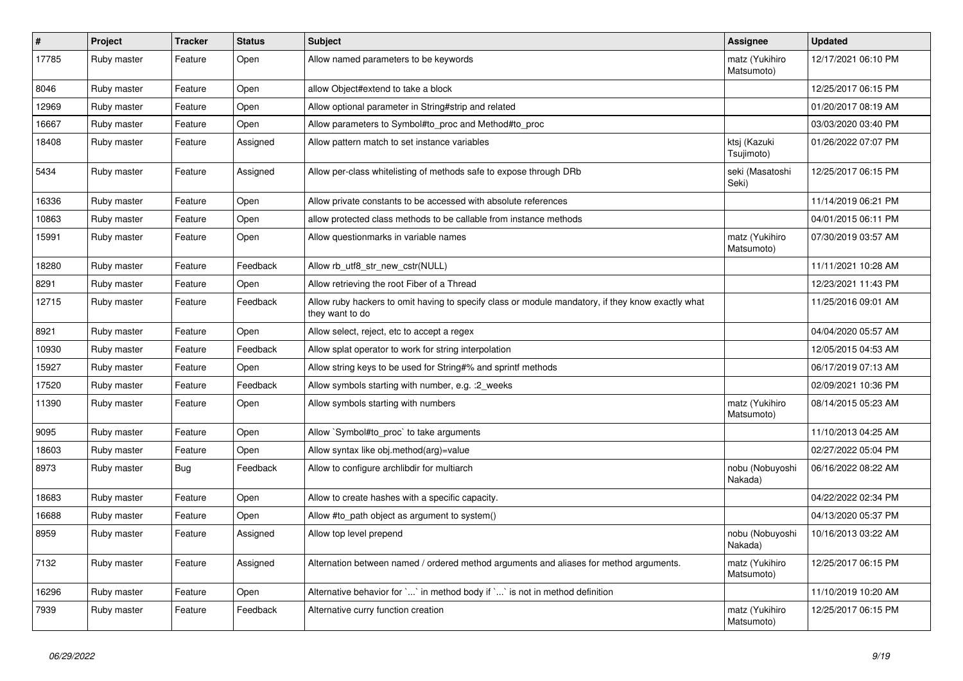| #     | Project     | <b>Tracker</b> | <b>Status</b> | <b>Subject</b>                                                                                                       | <b>Assignee</b>              | <b>Updated</b>      |
|-------|-------------|----------------|---------------|----------------------------------------------------------------------------------------------------------------------|------------------------------|---------------------|
| 17785 | Ruby master | Feature        | Open          | Allow named parameters to be keywords                                                                                | matz (Yukihiro<br>Matsumoto) | 12/17/2021 06:10 PM |
| 8046  | Ruby master | Feature        | Open          | allow Object#extend to take a block                                                                                  |                              | 12/25/2017 06:15 PM |
| 12969 | Ruby master | Feature        | Open          | Allow optional parameter in String#strip and related                                                                 |                              | 01/20/2017 08:19 AM |
| 16667 | Ruby master | Feature        | Open          | Allow parameters to Symbol#to_proc and Method#to_proc                                                                |                              | 03/03/2020 03:40 PM |
| 18408 | Ruby master | Feature        | Assigned      | Allow pattern match to set instance variables                                                                        | ktsj (Kazuki<br>Tsujimoto)   | 01/26/2022 07:07 PM |
| 5434  | Ruby master | Feature        | Assigned      | Allow per-class whitelisting of methods safe to expose through DRb                                                   | seki (Masatoshi<br>Seki)     | 12/25/2017 06:15 PM |
| 16336 | Ruby master | Feature        | Open          | Allow private constants to be accessed with absolute references                                                      |                              | 11/14/2019 06:21 PM |
| 10863 | Ruby master | Feature        | Open          | allow protected class methods to be callable from instance methods                                                   |                              | 04/01/2015 06:11 PM |
| 15991 | Ruby master | Feature        | Open          | Allow questionmarks in variable names                                                                                | matz (Yukihiro<br>Matsumoto) | 07/30/2019 03:57 AM |
| 18280 | Ruby master | Feature        | Feedback      | Allow rb_utf8_str_new_cstr(NULL)                                                                                     |                              | 11/11/2021 10:28 AM |
| 8291  | Ruby master | Feature        | Open          | Allow retrieving the root Fiber of a Thread                                                                          |                              | 12/23/2021 11:43 PM |
| 12715 | Ruby master | Feature        | Feedback      | Allow ruby hackers to omit having to specify class or module mandatory, if they know exactly what<br>they want to do |                              | 11/25/2016 09:01 AM |
| 8921  | Ruby master | Feature        | Open          | Allow select, reject, etc to accept a regex                                                                          |                              | 04/04/2020 05:57 AM |
| 10930 | Ruby master | Feature        | Feedback      | Allow splat operator to work for string interpolation                                                                |                              | 12/05/2015 04:53 AM |
| 15927 | Ruby master | Feature        | Open          | Allow string keys to be used for String#% and sprintf methods                                                        |                              | 06/17/2019 07:13 AM |
| 17520 | Ruby master | Feature        | Feedback      | Allow symbols starting with number, e.g. : 2 weeks                                                                   |                              | 02/09/2021 10:36 PM |
| 11390 | Ruby master | Feature        | Open          | Allow symbols starting with numbers                                                                                  | matz (Yukihiro<br>Matsumoto) | 08/14/2015 05:23 AM |
| 9095  | Ruby master | Feature        | Open          | Allow `Symbol#to_proc` to take arguments                                                                             |                              | 11/10/2013 04:25 AM |
| 18603 | Ruby master | Feature        | Open          | Allow syntax like obj.method(arg)=value                                                                              |                              | 02/27/2022 05:04 PM |
| 8973  | Ruby master | <b>Bug</b>     | Feedback      | Allow to configure archlibdir for multiarch                                                                          | nobu (Nobuyoshi<br>Nakada)   | 06/16/2022 08:22 AM |
| 18683 | Ruby master | Feature        | Open          | Allow to create hashes with a specific capacity.                                                                     |                              | 04/22/2022 02:34 PM |
| 16688 | Ruby master | Feature        | Open          | Allow #to path object as argument to system()                                                                        |                              | 04/13/2020 05:37 PM |
| 8959  | Ruby master | Feature        | Assigned      | Allow top level prepend                                                                                              | nobu (Nobuyoshi<br>Nakada)   | 10/16/2013 03:22 AM |
| 7132  | Ruby master | Feature        | Assigned      | Alternation between named / ordered method arguments and aliases for method arguments.                               | matz (Yukihiro<br>Matsumoto) | 12/25/2017 06:15 PM |
| 16296 | Ruby master | Feature        | Open          | Alternative behavior for `` in method body if `` is not in method definition                                         |                              | 11/10/2019 10:20 AM |
| 7939  | Ruby master | Feature        | Feedback      | Alternative curry function creation                                                                                  | matz (Yukihiro<br>Matsumoto) | 12/25/2017 06:15 PM |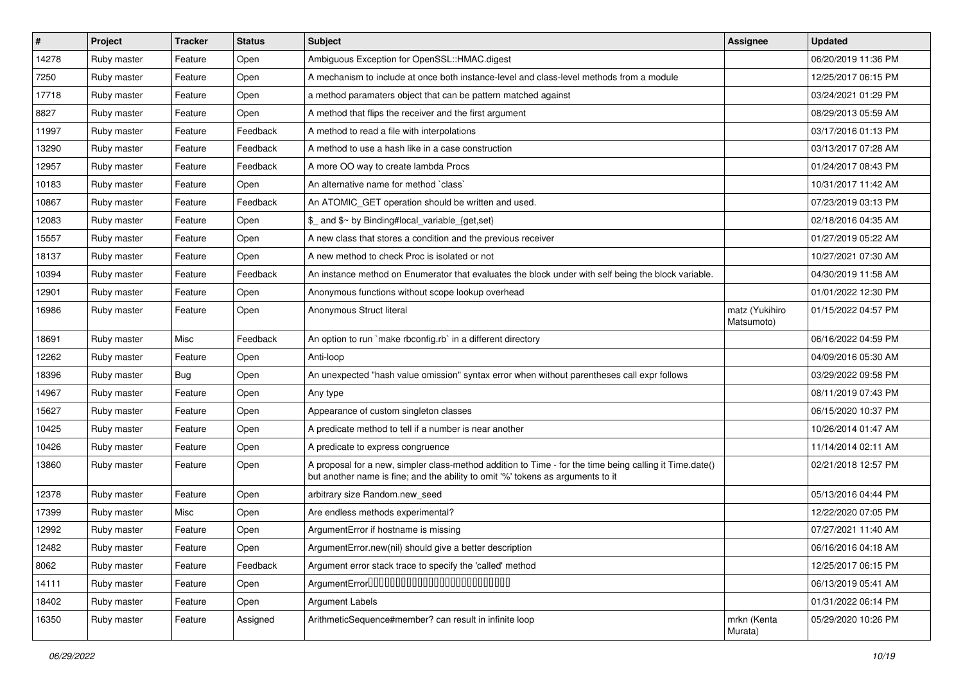| #     | Project     | <b>Tracker</b> | <b>Status</b> | <b>Subject</b>                                                                                                                                                                             | <b>Assignee</b>              | <b>Updated</b>      |
|-------|-------------|----------------|---------------|--------------------------------------------------------------------------------------------------------------------------------------------------------------------------------------------|------------------------------|---------------------|
| 14278 | Ruby master | Feature        | Open          | Ambiguous Exception for OpenSSL::HMAC.digest                                                                                                                                               |                              | 06/20/2019 11:36 PM |
| 7250  | Ruby master | Feature        | Open          | A mechanism to include at once both instance-level and class-level methods from a module                                                                                                   |                              | 12/25/2017 06:15 PM |
| 17718 | Ruby master | Feature        | Open          | a method paramaters object that can be pattern matched against                                                                                                                             |                              | 03/24/2021 01:29 PM |
| 8827  | Ruby master | Feature        | Open          | A method that flips the receiver and the first argument                                                                                                                                    |                              | 08/29/2013 05:59 AM |
| 11997 | Ruby master | Feature        | Feedback      | A method to read a file with interpolations                                                                                                                                                |                              | 03/17/2016 01:13 PM |
| 13290 | Ruby master | Feature        | Feedback      | A method to use a hash like in a case construction                                                                                                                                         |                              | 03/13/2017 07:28 AM |
| 12957 | Ruby master | Feature        | Feedback      | A more OO way to create lambda Procs                                                                                                                                                       |                              | 01/24/2017 08:43 PM |
| 10183 | Ruby master | Feature        | Open          | An alternative name for method `class`                                                                                                                                                     |                              | 10/31/2017 11:42 AM |
| 10867 | Ruby master | Feature        | Feedback      | An ATOMIC_GET operation should be written and used.                                                                                                                                        |                              | 07/23/2019 03:13 PM |
| 12083 | Ruby master | Feature        | Open          | \$_ and \$~ by Binding#local_variable_{get,set}                                                                                                                                            |                              | 02/18/2016 04:35 AM |
| 15557 | Ruby master | Feature        | Open          | A new class that stores a condition and the previous receiver                                                                                                                              |                              | 01/27/2019 05:22 AM |
| 18137 | Ruby master | Feature        | Open          | A new method to check Proc is isolated or not                                                                                                                                              |                              | 10/27/2021 07:30 AM |
| 10394 | Ruby master | Feature        | Feedback      | An instance method on Enumerator that evaluates the block under with self being the block variable.                                                                                        |                              | 04/30/2019 11:58 AM |
| 12901 | Ruby master | Feature        | Open          | Anonymous functions without scope lookup overhead                                                                                                                                          |                              | 01/01/2022 12:30 PM |
| 16986 | Ruby master | Feature        | Open          | Anonymous Struct literal                                                                                                                                                                   | matz (Yukihiro<br>Matsumoto) | 01/15/2022 04:57 PM |
| 18691 | Ruby master | Misc           | Feedback      | An option to run `make rbconfig.rb` in a different directory                                                                                                                               |                              | 06/16/2022 04:59 PM |
| 12262 | Ruby master | Feature        | Open          | Anti-loop                                                                                                                                                                                  |                              | 04/09/2016 05:30 AM |
| 18396 | Ruby master | Bug            | Open          | An unexpected "hash value omission" syntax error when without parentheses call expr follows                                                                                                |                              | 03/29/2022 09:58 PM |
| 14967 | Ruby master | Feature        | Open          | Any type                                                                                                                                                                                   |                              | 08/11/2019 07:43 PM |
| 15627 | Ruby master | Feature        | Open          | Appearance of custom singleton classes                                                                                                                                                     |                              | 06/15/2020 10:37 PM |
| 10425 | Ruby master | Feature        | Open          | A predicate method to tell if a number is near another                                                                                                                                     |                              | 10/26/2014 01:47 AM |
| 10426 | Ruby master | Feature        | Open          | A predicate to express congruence                                                                                                                                                          |                              | 11/14/2014 02:11 AM |
| 13860 | Ruby master | Feature        | Open          | A proposal for a new, simpler class-method addition to Time - for the time being calling it Time.date()<br>but another name is fine; and the ability to omit '%' tokens as arguments to it |                              | 02/21/2018 12:57 PM |
| 12378 | Ruby master | Feature        | Open          | arbitrary size Random.new_seed                                                                                                                                                             |                              | 05/13/2016 04:44 PM |
| 17399 | Ruby master | Misc           | Open          | Are endless methods experimental?                                                                                                                                                          |                              | 12/22/2020 07:05 PM |
| 12992 | Ruby master | Feature        | Open          | ArgumentError if hostname is missing                                                                                                                                                       |                              | 07/27/2021 11:40 AM |
| 12482 | Ruby master | Feature        | Open          | ArgumentError.new(nil) should give a better description                                                                                                                                    |                              | 06/16/2016 04:18 AM |
| 8062  | Ruby master | Feature        | Feedback      | Argument error stack trace to specify the 'called' method                                                                                                                                  |                              | 12/25/2017 06:15 PM |
| 14111 | Ruby master | Feature        | Open          | ArgumentError00000000000000000000000000                                                                                                                                                    |                              | 06/13/2019 05:41 AM |
| 18402 | Ruby master | Feature        | Open          | Argument Labels                                                                                                                                                                            |                              | 01/31/2022 06:14 PM |
| 16350 | Ruby master | Feature        | Assigned      | ArithmeticSequence#member? can result in infinite loop                                                                                                                                     | mrkn (Kenta<br>Murata)       | 05/29/2020 10:26 PM |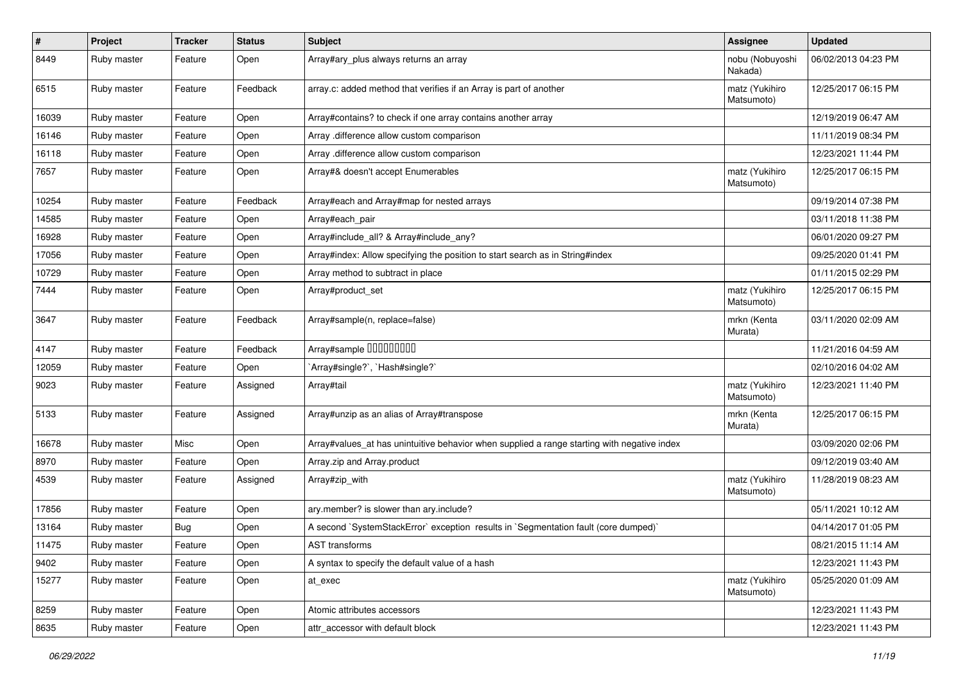| $\pmb{\#}$ | Project     | <b>Tracker</b> | <b>Status</b> | Subject                                                                                     | <b>Assignee</b>              | <b>Updated</b>      |
|------------|-------------|----------------|---------------|---------------------------------------------------------------------------------------------|------------------------------|---------------------|
| 8449       | Ruby master | Feature        | Open          | Array#ary_plus always returns an array                                                      | nobu (Nobuyoshi<br>Nakada)   | 06/02/2013 04:23 PM |
| 6515       | Ruby master | Feature        | Feedback      | array.c: added method that verifies if an Array is part of another                          | matz (Yukihiro<br>Matsumoto) | 12/25/2017 06:15 PM |
| 16039      | Ruby master | Feature        | Open          | Array#contains? to check if one array contains another array                                |                              | 12/19/2019 06:47 AM |
| 16146      | Ruby master | Feature        | Open          | Array .difference allow custom comparison                                                   |                              | 11/11/2019 08:34 PM |
| 16118      | Ruby master | Feature        | Open          | Array .difference allow custom comparison                                                   |                              | 12/23/2021 11:44 PM |
| 7657       | Ruby master | Feature        | Open          | Array#& doesn't accept Enumerables                                                          | matz (Yukihiro<br>Matsumoto) | 12/25/2017 06:15 PM |
| 10254      | Ruby master | Feature        | Feedback      | Array#each and Array#map for nested arrays                                                  |                              | 09/19/2014 07:38 PM |
| 14585      | Ruby master | Feature        | Open          | Array#each_pair                                                                             |                              | 03/11/2018 11:38 PM |
| 16928      | Ruby master | Feature        | Open          | Array#include_all? & Array#include_any?                                                     |                              | 06/01/2020 09:27 PM |
| 17056      | Ruby master | Feature        | Open          | Array#index: Allow specifying the position to start search as in String#index               |                              | 09/25/2020 01:41 PM |
| 10729      | Ruby master | Feature        | Open          | Array method to subtract in place                                                           |                              | 01/11/2015 02:29 PM |
| 7444       | Ruby master | Feature        | Open          | Array#product set                                                                           | matz (Yukihiro<br>Matsumoto) | 12/25/2017 06:15 PM |
| 3647       | Ruby master | Feature        | Feedback      | Array#sample(n, replace=false)                                                              | mrkn (Kenta<br>Murata)       | 03/11/2020 02:09 AM |
| 4147       | Ruby master | Feature        | Feedback      | Array#sample 00000000                                                                       |                              | 11/21/2016 04:59 AM |
| 12059      | Ruby master | Feature        | Open          | 'Array#single?', 'Hash#single?'                                                             |                              | 02/10/2016 04:02 AM |
| 9023       | Ruby master | Feature        | Assigned      | Array#tail                                                                                  | matz (Yukihiro<br>Matsumoto) | 12/23/2021 11:40 PM |
| 5133       | Ruby master | Feature        | Assigned      | Array#unzip as an alias of Array#transpose                                                  | mrkn (Kenta<br>Murata)       | 12/25/2017 06:15 PM |
| 16678      | Ruby master | Misc           | Open          | Array#values_at has unintuitive behavior when supplied a range starting with negative index |                              | 03/09/2020 02:06 PM |
| 8970       | Ruby master | Feature        | Open          | Array.zip and Array.product                                                                 |                              | 09/12/2019 03:40 AM |
| 4539       | Ruby master | Feature        | Assigned      | Array#zip_with                                                                              | matz (Yukihiro<br>Matsumoto) | 11/28/2019 08:23 AM |
| 17856      | Ruby master | Feature        | Open          | ary.member? is slower than ary.include?                                                     |                              | 05/11/2021 10:12 AM |
| 13164      | Ruby master | <b>Bug</b>     | Open          | A second `SystemStackError` exception results in `Segmentation fault (core dumped)`         |                              | 04/14/2017 01:05 PM |
| 11475      | Ruby master | Feature        | Open          | AST transforms                                                                              |                              | 08/21/2015 11:14 AM |
| 9402       | Ruby master | Feature        | Open          | A syntax to specify the default value of a hash                                             |                              | 12/23/2021 11:43 PM |
| 15277      | Ruby master | Feature        | Open          | at exec                                                                                     | matz (Yukihiro<br>Matsumoto) | 05/25/2020 01:09 AM |
| 8259       | Ruby master | Feature        | Open          | Atomic attributes accessors                                                                 |                              | 12/23/2021 11:43 PM |
| 8635       | Ruby master | Feature        | Open          | attr accessor with default block                                                            |                              | 12/23/2021 11:43 PM |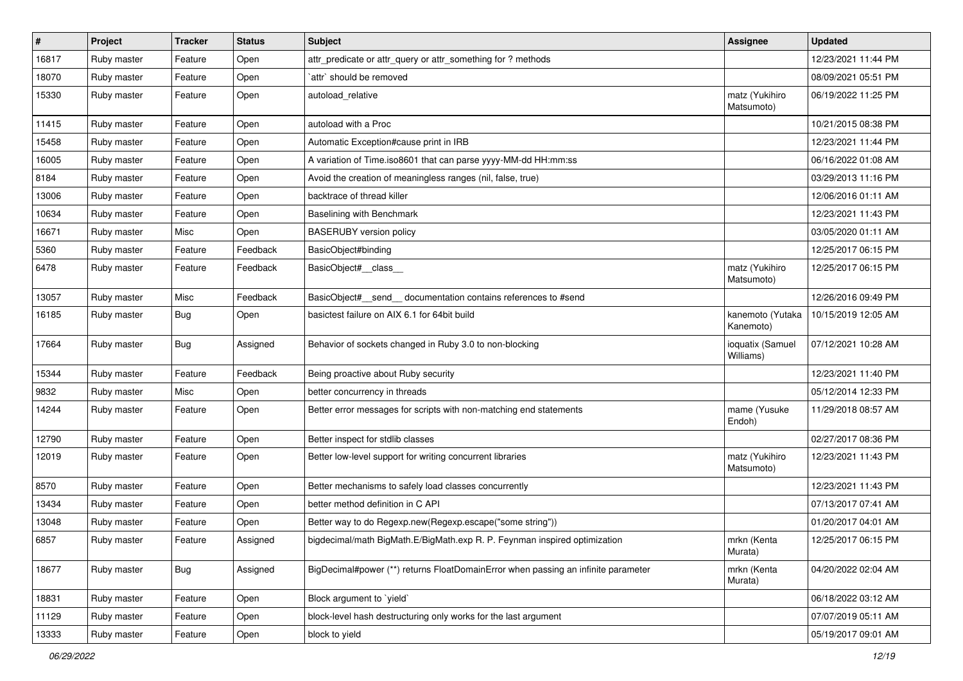| $\vert$ # | Project     | <b>Tracker</b> | <b>Status</b> | Subject                                                                           | <b>Assignee</b>               | <b>Updated</b>      |
|-----------|-------------|----------------|---------------|-----------------------------------------------------------------------------------|-------------------------------|---------------------|
| 16817     | Ruby master | Feature        | Open          | attr_predicate or attr_query or attr_something for ? methods                      |                               | 12/23/2021 11:44 PM |
| 18070     | Ruby master | Feature        | Open          | `attr` should be removed                                                          |                               | 08/09/2021 05:51 PM |
| 15330     | Ruby master | Feature        | Open          | autoload relative                                                                 | matz (Yukihiro<br>Matsumoto)  | 06/19/2022 11:25 PM |
| 11415     | Ruby master | Feature        | Open          | autoload with a Proc                                                              |                               | 10/21/2015 08:38 PM |
| 15458     | Ruby master | Feature        | Open          | Automatic Exception#cause print in IRB                                            |                               | 12/23/2021 11:44 PM |
| 16005     | Ruby master | Feature        | Open          | A variation of Time.iso8601 that can parse yyyy-MM-dd HH:mm:ss                    |                               | 06/16/2022 01:08 AM |
| 8184      | Ruby master | Feature        | Open          | Avoid the creation of meaningless ranges (nil, false, true)                       |                               | 03/29/2013 11:16 PM |
| 13006     | Ruby master | Feature        | Open          | backtrace of thread killer                                                        |                               | 12/06/2016 01:11 AM |
| 10634     | Ruby master | Feature        | Open          | Baselining with Benchmark                                                         |                               | 12/23/2021 11:43 PM |
| 16671     | Ruby master | Misc           | Open          | <b>BASERUBY</b> version policy                                                    |                               | 03/05/2020 01:11 AM |
| 5360      | Ruby master | Feature        | Feedback      | BasicObject#binding                                                               |                               | 12/25/2017 06:15 PM |
| 6478      | Ruby master | Feature        | Feedback      | BasicObject#_class_                                                               | matz (Yukihiro<br>Matsumoto)  | 12/25/2017 06:15 PM |
| 13057     | Ruby master | Misc           | Feedback      | BasicObject#_send_ documentation contains references to #send                     |                               | 12/26/2016 09:49 PM |
| 16185     | Ruby master | Bug            | Open          | basictest failure on AIX 6.1 for 64bit build                                      | kanemoto (Yutaka<br>Kanemoto) | 10/15/2019 12:05 AM |
| 17664     | Ruby master | Bug            | Assigned      | Behavior of sockets changed in Ruby 3.0 to non-blocking                           | ioquatix (Samuel<br>Williams) | 07/12/2021 10:28 AM |
| 15344     | Ruby master | Feature        | Feedback      | Being proactive about Ruby security                                               |                               | 12/23/2021 11:40 PM |
| 9832      | Ruby master | Misc           | Open          | better concurrency in threads                                                     |                               | 05/12/2014 12:33 PM |
| 14244     | Ruby master | Feature        | Open          | Better error messages for scripts with non-matching end statements                | mame (Yusuke<br>Endoh)        | 11/29/2018 08:57 AM |
| 12790     | Ruby master | Feature        | Open          | Better inspect for stdlib classes                                                 |                               | 02/27/2017 08:36 PM |
| 12019     | Ruby master | Feature        | Open          | Better low-level support for writing concurrent libraries                         | matz (Yukihiro<br>Matsumoto)  | 12/23/2021 11:43 PM |
| 8570      | Ruby master | Feature        | Open          | Better mechanisms to safely load classes concurrently                             |                               | 12/23/2021 11:43 PM |
| 13434     | Ruby master | Feature        | Open          | better method definition in C API                                                 |                               | 07/13/2017 07:41 AM |
| 13048     | Ruby master | Feature        | Open          | Better way to do Regexp.new(Regexp.escape("some string"))                         |                               | 01/20/2017 04:01 AM |
| 6857      | Ruby master | Feature        | Assigned      | bigdecimal/math BigMath.E/BigMath.exp R. P. Feynman inspired optimization         | mrkn (Kenta<br>Murata)        | 12/25/2017 06:15 PM |
| 18677     | Ruby master | Bug            | Assigned      | BigDecimal#power (**) returns FloatDomainError when passing an infinite parameter | mrkn (Kenta<br>Murata)        | 04/20/2022 02:04 AM |
| 18831     | Ruby master | Feature        | Open          | Block argument to 'yield'                                                         |                               | 06/18/2022 03:12 AM |
| 11129     | Ruby master | Feature        | Open          | block-level hash destructuring only works for the last argument                   |                               | 07/07/2019 05:11 AM |
| 13333     | Ruby master | Feature        | Open          | block to yield                                                                    |                               | 05/19/2017 09:01 AM |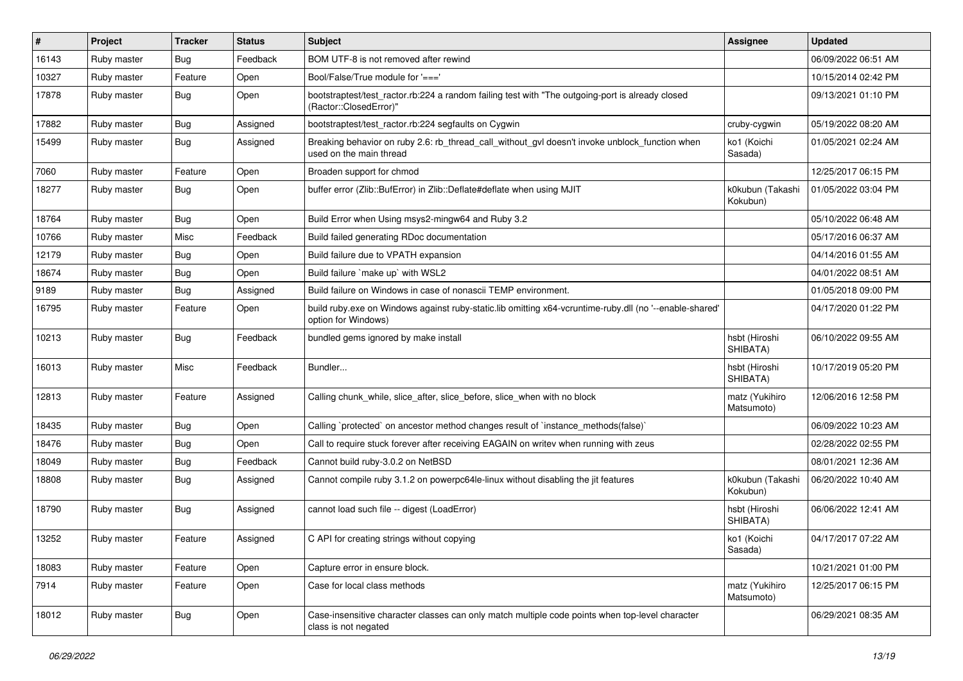| $\vert$ # | Project     | <b>Tracker</b> | <b>Status</b> | Subject                                                                                                                        | <b>Assignee</b>              | <b>Updated</b>      |
|-----------|-------------|----------------|---------------|--------------------------------------------------------------------------------------------------------------------------------|------------------------------|---------------------|
| 16143     | Ruby master | Bug            | Feedback      | BOM UTF-8 is not removed after rewind                                                                                          |                              | 06/09/2022 06:51 AM |
| 10327     | Ruby master | Feature        | Open          | Bool/False/True module for '==='                                                                                               |                              | 10/15/2014 02:42 PM |
| 17878     | Ruby master | Bug            | Open          | bootstraptest/test_ractor.rb:224 a random failing test with "The outgoing-port is already closed<br>(Ractor::ClosedError)"     |                              | 09/13/2021 01:10 PM |
| 17882     | Ruby master | Bug            | Assigned      | bootstraptest/test_ractor.rb:224 segfaults on Cygwin                                                                           | cruby-cygwin                 | 05/19/2022 08:20 AM |
| 15499     | Ruby master | Bug            | Assigned      | Breaking behavior on ruby 2.6: rb_thread_call_without_gvl doesn't invoke unblock_function when<br>used on the main thread      | ko1 (Koichi<br>Sasada)       | 01/05/2021 02:24 AM |
| 7060      | Ruby master | Feature        | Open          | Broaden support for chmod                                                                                                      |                              | 12/25/2017 06:15 PM |
| 18277     | Ruby master | Bug            | Open          | buffer error (Zlib::BufError) in Zlib::Deflate#deflate when using MJIT                                                         | k0kubun (Takashi<br>Kokubun) | 01/05/2022 03:04 PM |
| 18764     | Ruby master | Bug            | Open          | Build Error when Using msys2-mingw64 and Ruby 3.2                                                                              |                              | 05/10/2022 06:48 AM |
| 10766     | Ruby master | Misc           | Feedback      | Build failed generating RDoc documentation                                                                                     |                              | 05/17/2016 06:37 AM |
| 12179     | Ruby master | Bug            | Open          | Build failure due to VPATH expansion                                                                                           |                              | 04/14/2016 01:55 AM |
| 18674     | Ruby master | Bug            | Open          | Build failure `make up` with WSL2                                                                                              |                              | 04/01/2022 08:51 AM |
| 9189      | Ruby master | Bug            | Assigned      | Build failure on Windows in case of nonascii TEMP environment.                                                                 |                              | 01/05/2018 09:00 PM |
| 16795     | Ruby master | Feature        | Open          | build ruby.exe on Windows against ruby-static.lib omitting x64-vcruntime-ruby.dll (no '--enable-shared'<br>option for Windows) |                              | 04/17/2020 01:22 PM |
| 10213     | Ruby master | Bug            | Feedback      | bundled gems ignored by make install                                                                                           | hsbt (Hiroshi<br>SHIBATA)    | 06/10/2022 09:55 AM |
| 16013     | Ruby master | Misc           | Feedback      | Bundler                                                                                                                        | hsbt (Hiroshi<br>SHIBATA)    | 10/17/2019 05:20 PM |
| 12813     | Ruby master | Feature        | Assigned      | Calling chunk_while, slice_after, slice_before, slice_when with no block                                                       | matz (Yukihiro<br>Matsumoto) | 12/06/2016 12:58 PM |
| 18435     | Ruby master | Bug            | Open          | Calling `protected` on ancestor method changes result of `instance_methods(false)`                                             |                              | 06/09/2022 10:23 AM |
| 18476     | Ruby master | Bug            | Open          | Call to require stuck forever after receiving EAGAIN on writev when running with zeus                                          |                              | 02/28/2022 02:55 PM |
| 18049     | Ruby master | Bug            | Feedback      | Cannot build ruby-3.0.2 on NetBSD                                                                                              |                              | 08/01/2021 12:36 AM |
| 18808     | Ruby master | Bug            | Assigned      | Cannot compile ruby 3.1.2 on powerpc64le-linux without disabling the jit features                                              | k0kubun (Takashi<br>Kokubun) | 06/20/2022 10:40 AM |
| 18790     | Ruby master | Bug            | Assigned      | cannot load such file -- digest (LoadError)                                                                                    | hsbt (Hiroshi<br>SHIBATA)    | 06/06/2022 12:41 AM |
| 13252     | Ruby master | Feature        | Assigned      | C API for creating strings without copying                                                                                     | ko1 (Koichi<br>Sasada)       | 04/17/2017 07:22 AM |
| 18083     | Ruby master | Feature        | Open          | Capture error in ensure block.                                                                                                 |                              | 10/21/2021 01:00 PM |
| 7914      | Ruby master | Feature        | Open          | Case for local class methods                                                                                                   | matz (Yukihiro<br>Matsumoto) | 12/25/2017 06:15 PM |
| 18012     | Ruby master | <b>Bug</b>     | Open          | Case-insensitive character classes can only match multiple code points when top-level character<br>class is not negated        |                              | 06/29/2021 08:35 AM |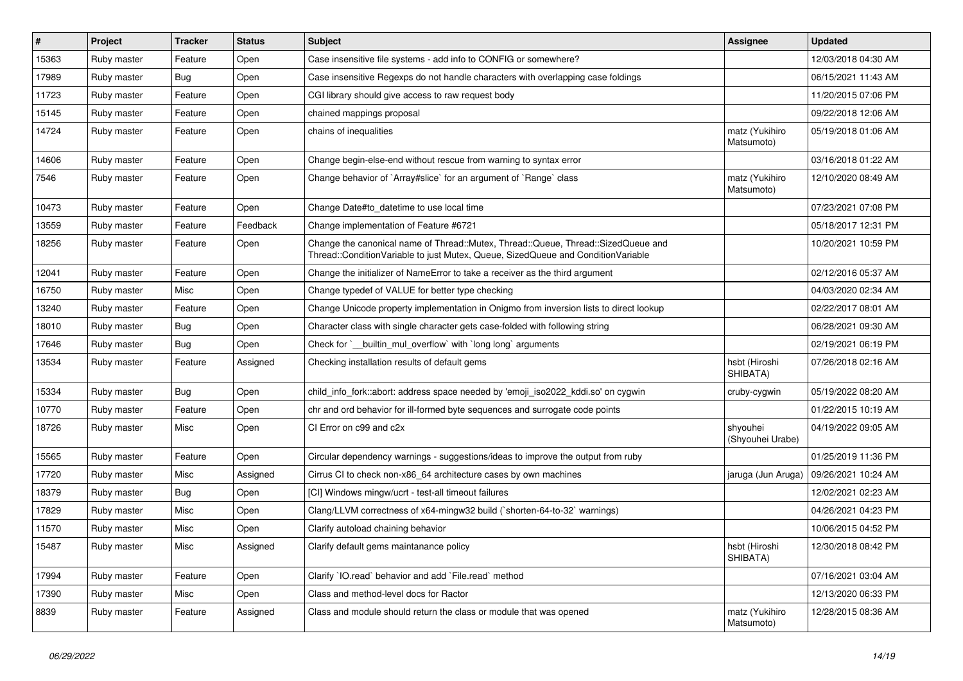| $\vert$ # | Project     | <b>Tracker</b> | <b>Status</b> | Subject                                                                                                                                                               | <b>Assignee</b>              | <b>Updated</b>      |
|-----------|-------------|----------------|---------------|-----------------------------------------------------------------------------------------------------------------------------------------------------------------------|------------------------------|---------------------|
| 15363     | Ruby master | Feature        | Open          | Case insensitive file systems - add info to CONFIG or somewhere?                                                                                                      |                              | 12/03/2018 04:30 AM |
| 17989     | Ruby master | Bug            | Open          | Case insensitive Regexps do not handle characters with overlapping case foldings                                                                                      |                              | 06/15/2021 11:43 AM |
| 11723     | Ruby master | Feature        | Open          | CGI library should give access to raw request body                                                                                                                    |                              | 11/20/2015 07:06 PM |
| 15145     | Ruby master | Feature        | Open          | chained mappings proposal                                                                                                                                             |                              | 09/22/2018 12:06 AM |
| 14724     | Ruby master | Feature        | Open          | chains of inequalities                                                                                                                                                | matz (Yukihiro<br>Matsumoto) | 05/19/2018 01:06 AM |
| 14606     | Ruby master | Feature        | Open          | Change begin-else-end without rescue from warning to syntax error                                                                                                     |                              | 03/16/2018 01:22 AM |
| 7546      | Ruby master | Feature        | Open          | Change behavior of `Array#slice` for an argument of `Range` class                                                                                                     | matz (Yukihiro<br>Matsumoto) | 12/10/2020 08:49 AM |
| 10473     | Ruby master | Feature        | Open          | Change Date#to_datetime to use local time                                                                                                                             |                              | 07/23/2021 07:08 PM |
| 13559     | Ruby master | Feature        | Feedback      | Change implementation of Feature #6721                                                                                                                                |                              | 05/18/2017 12:31 PM |
| 18256     | Ruby master | Feature        | Open          | Change the canonical name of Thread::Mutex, Thread::Queue, Thread::SizedQueue and<br>Thread::ConditionVariable to just Mutex, Queue, SizedQueue and ConditionVariable |                              | 10/20/2021 10:59 PM |
| 12041     | Ruby master | Feature        | Open          | Change the initializer of NameError to take a receiver as the third argument                                                                                          |                              | 02/12/2016 05:37 AM |
| 16750     | Ruby master | Misc           | Open          | Change typedef of VALUE for better type checking                                                                                                                      |                              | 04/03/2020 02:34 AM |
| 13240     | Ruby master | Feature        | Open          | Change Unicode property implementation in Onigmo from inversion lists to direct lookup                                                                                |                              | 02/22/2017 08:01 AM |
| 18010     | Ruby master | <b>Bug</b>     | Open          | Character class with single character gets case-folded with following string                                                                                          |                              | 06/28/2021 09:30 AM |
| 17646     | Ruby master | <b>Bug</b>     | Open          | Check for `__builtin_mul_overflow` with `long long` arguments                                                                                                         |                              | 02/19/2021 06:19 PM |
| 13534     | Ruby master | Feature        | Assigned      | Checking installation results of default gems                                                                                                                         | hsbt (Hiroshi<br>SHIBATA)    | 07/26/2018 02:16 AM |
| 15334     | Ruby master | Bug            | Open          | child_info_fork::abort: address space needed by 'emoji_iso2022_kddi.so' on cygwin                                                                                     | cruby-cygwin                 | 05/19/2022 08:20 AM |
| 10770     | Ruby master | Feature        | Open          | chr and ord behavior for ill-formed byte sequences and surrogate code points                                                                                          |                              | 01/22/2015 10:19 AM |
| 18726     | Ruby master | Misc           | Open          | CI Error on c99 and c2x                                                                                                                                               | shyouhei<br>(Shyouhei Urabe) | 04/19/2022 09:05 AM |
| 15565     | Ruby master | Feature        | Open          | Circular dependency warnings - suggestions/ideas to improve the output from ruby                                                                                      |                              | 01/25/2019 11:36 PM |
| 17720     | Ruby master | Misc           | Assigned      | Cirrus CI to check non-x86_64 architecture cases by own machines                                                                                                      | jaruga (Jun Aruga)           | 09/26/2021 10:24 AM |
| 18379     | Ruby master | <b>Bug</b>     | Open          | [CI] Windows mingw/ucrt - test-all timeout failures                                                                                                                   |                              | 12/02/2021 02:23 AM |
| 17829     | Ruby master | Misc           | Open          | Clang/LLVM correctness of x64-mingw32 build (`shorten-64-to-32` warnings)                                                                                             |                              | 04/26/2021 04:23 PM |
| 11570     | Ruby master | Misc           | Open          | Clarify autoload chaining behavior                                                                                                                                    |                              | 10/06/2015 04:52 PM |
| 15487     | Ruby master | Misc           | Assigned      | Clarify default gems maintanance policy                                                                                                                               | hsbt (Hiroshi<br>SHIBATA)    | 12/30/2018 08:42 PM |
| 17994     | Ruby master | Feature        | Open          | Clarify 'IO.read' behavior and add 'File.read' method                                                                                                                 |                              | 07/16/2021 03:04 AM |
| 17390     | Ruby master | Misc           | Open          | Class and method-level docs for Ractor                                                                                                                                |                              | 12/13/2020 06:33 PM |
| 8839      | Ruby master | Feature        | Assigned      | Class and module should return the class or module that was opened                                                                                                    | matz (Yukihiro<br>Matsumoto) | 12/28/2015 08:36 AM |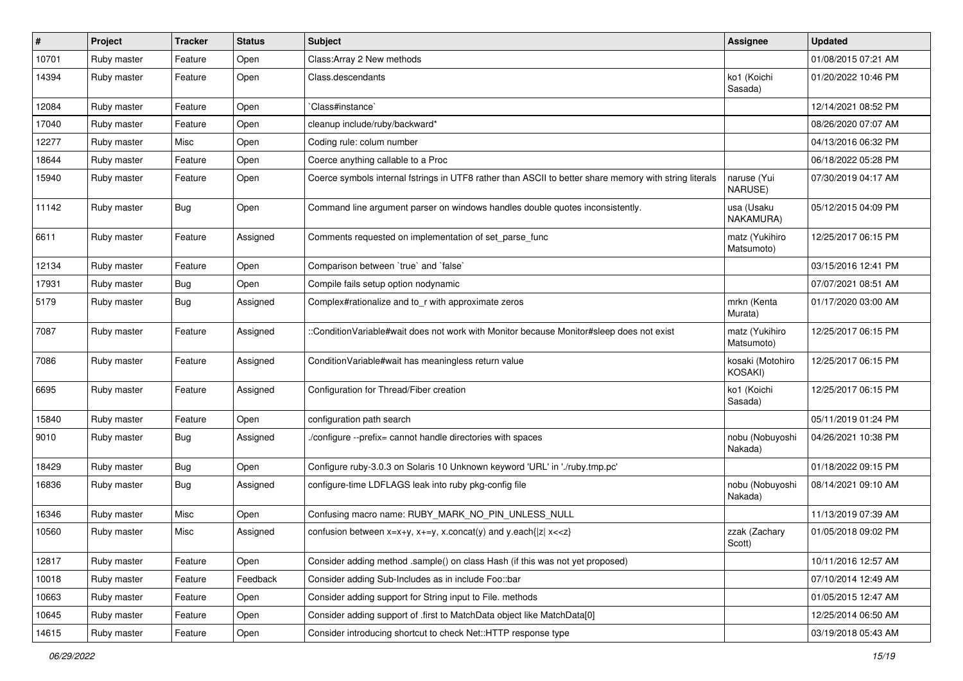| $\vert$ # | Project     | <b>Tracker</b> | <b>Status</b> | Subject                                                                                                | Assignee                     | <b>Updated</b>      |
|-----------|-------------|----------------|---------------|--------------------------------------------------------------------------------------------------------|------------------------------|---------------------|
| 10701     | Ruby master | Feature        | Open          | Class: Array 2 New methods                                                                             |                              | 01/08/2015 07:21 AM |
| 14394     | Ruby master | Feature        | Open          | Class.descendants                                                                                      | ko1 (Koichi<br>Sasada)       | 01/20/2022 10:46 PM |
| 12084     | Ruby master | Feature        | Open          | Class#instance`                                                                                        |                              | 12/14/2021 08:52 PM |
| 17040     | Ruby master | Feature        | Open          | cleanup include/ruby/backward*                                                                         |                              | 08/26/2020 07:07 AM |
| 12277     | Ruby master | Misc           | Open          | Coding rule: colum number                                                                              |                              | 04/13/2016 06:32 PM |
| 18644     | Ruby master | Feature        | Open          | Coerce anything callable to a Proc                                                                     |                              | 06/18/2022 05:28 PM |
| 15940     | Ruby master | Feature        | Open          | Coerce symbols internal fstrings in UTF8 rather than ASCII to better share memory with string literals | naruse (Yui<br>NARUSE)       | 07/30/2019 04:17 AM |
| 11142     | Ruby master | Bug            | Open          | Command line argument parser on windows handles double quotes inconsistently.                          | usa (Usaku<br>NAKAMURA)      | 05/12/2015 04:09 PM |
| 6611      | Ruby master | Feature        | Assigned      | Comments requested on implementation of set_parse_func                                                 | matz (Yukihiro<br>Matsumoto) | 12/25/2017 06:15 PM |
| 12134     | Ruby master | Feature        | Open          | Comparison between 'true' and 'false'                                                                  |                              | 03/15/2016 12:41 PM |
| 17931     | Ruby master | Bug            | Open          | Compile fails setup option nodynamic                                                                   |                              | 07/07/2021 08:51 AM |
| 5179      | Ruby master | Bug            | Assigned      | Complex#rationalize and to_r with approximate zeros                                                    | mrkn (Kenta<br>Murata)       | 01/17/2020 03:00 AM |
| 7087      | Ruby master | Feature        | Assigned      | ::ConditionVariable#wait does not work with Monitor because Monitor#sleep does not exist               | matz (Yukihiro<br>Matsumoto) | 12/25/2017 06:15 PM |
| 7086      | Ruby master | Feature        | Assigned      | ConditionVariable#wait has meaningless return value                                                    | kosaki (Motohiro<br>KOSAKI)  | 12/25/2017 06:15 PM |
| 6695      | Ruby master | Feature        | Assigned      | Configuration for Thread/Fiber creation                                                                | ko1 (Koichi<br>Sasada)       | 12/25/2017 06:15 PM |
| 15840     | Ruby master | Feature        | Open          | configuration path search                                                                              |                              | 05/11/2019 01:24 PM |
| 9010      | Ruby master | Bug            | Assigned      | /configure --prefix= cannot handle directories with spaces                                             | nobu (Nobuyoshi<br>Nakada)   | 04/26/2021 10:38 PM |
| 18429     | Ruby master | Bug            | Open          | Configure ruby-3.0.3 on Solaris 10 Unknown keyword 'URL' in './ruby.tmp.pc'                            |                              | 01/18/2022 09:15 PM |
| 16836     | Ruby master | Bug            | Assigned      | configure-time LDFLAGS leak into ruby pkg-config file                                                  | nobu (Nobuyoshi<br>Nakada)   | 08/14/2021 09:10 AM |
| 16346     | Ruby master | Misc           | Open          | Confusing macro name: RUBY_MARK_NO_PIN_UNLESS_NULL                                                     |                              | 11/13/2019 07:39 AM |
| 10560     | Ruby master | Misc           | Assigned      | confusion between $x=x+y$ , $x+=y$ , x.concat(y) and y.each{ z  $x<}$                                  | zzak (Zachary<br>Scott)      | 01/05/2018 09:02 PM |
| 12817     | Ruby master | Feature        | Open          | Consider adding method .sample() on class Hash (if this was not yet proposed)                          |                              | 10/11/2016 12:57 AM |
| 10018     | Ruby master | Feature        | Feedback      | Consider adding Sub-Includes as in include Foo::bar                                                    |                              | 07/10/2014 12:49 AM |
| 10663     | Ruby master | Feature        | Open          | Consider adding support for String input to File. methods                                              |                              | 01/05/2015 12:47 AM |
| 10645     | Ruby master | Feature        | Open          | Consider adding support of .first to MatchData object like MatchData[0]                                |                              | 12/25/2014 06:50 AM |
| 14615     | Ruby master | Feature        | Open          | Consider introducing shortcut to check Net::HTTP response type                                         |                              | 03/19/2018 05:43 AM |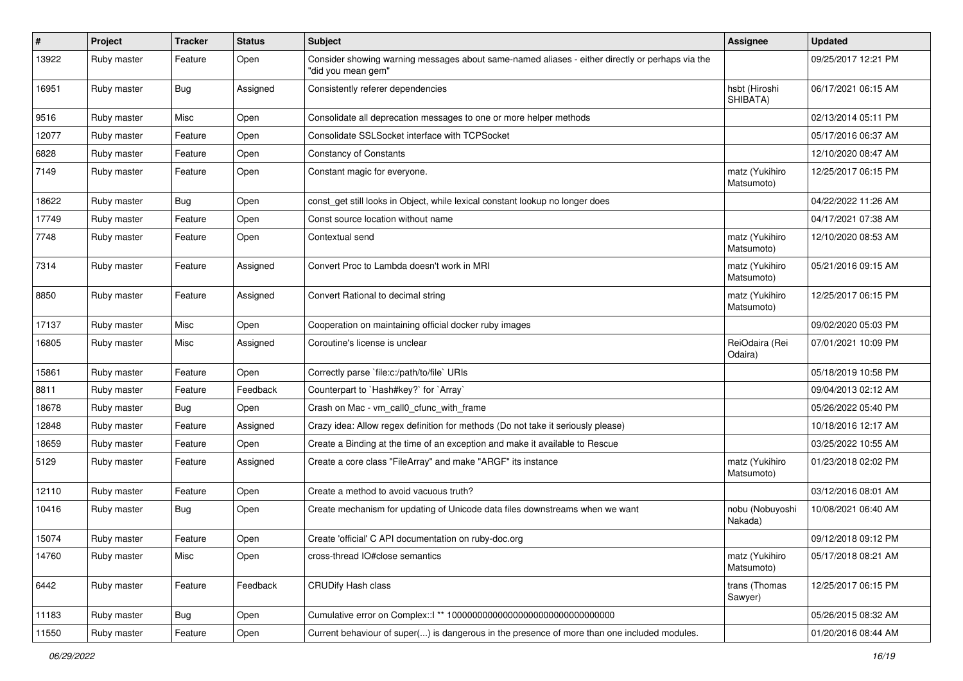| $\sharp$ | Project     | <b>Tracker</b> | <b>Status</b> | <b>Subject</b>                                                                                                        | <b>Assignee</b>              | <b>Updated</b>      |
|----------|-------------|----------------|---------------|-----------------------------------------------------------------------------------------------------------------------|------------------------------|---------------------|
| 13922    | Ruby master | Feature        | Open          | Consider showing warning messages about same-named aliases - either directly or perhaps via the<br>"did you mean gem" |                              | 09/25/2017 12:21 PM |
| 16951    | Ruby master | Bug            | Assigned      | Consistently referer dependencies                                                                                     | hsbt (Hiroshi<br>SHIBATA)    | 06/17/2021 06:15 AM |
| 9516     | Ruby master | Misc           | Open          | Consolidate all deprecation messages to one or more helper methods                                                    |                              | 02/13/2014 05:11 PM |
| 12077    | Ruby master | Feature        | Open          | Consolidate SSLSocket interface with TCPSocket                                                                        |                              | 05/17/2016 06:37 AM |
| 6828     | Ruby master | Feature        | Open          | <b>Constancy of Constants</b>                                                                                         |                              | 12/10/2020 08:47 AM |
| 7149     | Ruby master | Feature        | Open          | Constant magic for everyone.                                                                                          | matz (Yukihiro<br>Matsumoto) | 12/25/2017 06:15 PM |
| 18622    | Ruby master | Bug            | Open          | const_get still looks in Object, while lexical constant lookup no longer does                                         |                              | 04/22/2022 11:26 AM |
| 17749    | Ruby master | Feature        | Open          | Const source location without name                                                                                    |                              | 04/17/2021 07:38 AM |
| 7748     | Ruby master | Feature        | Open          | Contextual send                                                                                                       | matz (Yukihiro<br>Matsumoto) | 12/10/2020 08:53 AM |
| 7314     | Ruby master | Feature        | Assigned      | Convert Proc to Lambda doesn't work in MRI                                                                            | matz (Yukihiro<br>Matsumoto) | 05/21/2016 09:15 AM |
| 8850     | Ruby master | Feature        | Assigned      | Convert Rational to decimal string                                                                                    | matz (Yukihiro<br>Matsumoto) | 12/25/2017 06:15 PM |
| 17137    | Ruby master | Misc           | Open          | Cooperation on maintaining official docker ruby images                                                                |                              | 09/02/2020 05:03 PM |
| 16805    | Ruby master | Misc           | Assigned      | Coroutine's license is unclear                                                                                        | ReiOdaira (Rei<br>Odaira)    | 07/01/2021 10:09 PM |
| 15861    | Ruby master | Feature        | Open          | Correctly parse `file:c:/path/to/file` URIs                                                                           |                              | 05/18/2019 10:58 PM |
| 8811     | Ruby master | Feature        | Feedback      | Counterpart to `Hash#key?` for `Array`                                                                                |                              | 09/04/2013 02:12 AM |
| 18678    | Ruby master | <b>Bug</b>     | Open          | Crash on Mac - vm_call0_cfunc_with_frame                                                                              |                              | 05/26/2022 05:40 PM |
| 12848    | Ruby master | Feature        | Assigned      | Crazy idea: Allow regex definition for methods (Do not take it seriously please)                                      |                              | 10/18/2016 12:17 AM |
| 18659    | Ruby master | Feature        | Open          | Create a Binding at the time of an exception and make it available to Rescue                                          |                              | 03/25/2022 10:55 AM |
| 5129     | Ruby master | Feature        | Assigned      | Create a core class "FileArray" and make "ARGF" its instance                                                          | matz (Yukihiro<br>Matsumoto) | 01/23/2018 02:02 PM |
| 12110    | Ruby master | Feature        | Open          | Create a method to avoid vacuous truth?                                                                               |                              | 03/12/2016 08:01 AM |
| 10416    | Ruby master | <b>Bug</b>     | Open          | Create mechanism for updating of Unicode data files downstreams when we want                                          | nobu (Nobuyoshi<br>Nakada)   | 10/08/2021 06:40 AM |
| 15074    | Ruby master | Feature        | Open          | Create 'official' C API documentation on ruby-doc.org                                                                 |                              | 09/12/2018 09:12 PM |
| 14760    | Ruby master | Misc           | Open          | cross-thread IO#close semantics                                                                                       | matz (Yukihiro<br>Matsumoto) | 05/17/2018 08:21 AM |
| 6442     | Ruby master | Feature        | Feedback      | <b>CRUDify Hash class</b>                                                                                             | trans (Thomas<br>Sawyer)     | 12/25/2017 06:15 PM |
| 11183    | Ruby master | Bug            | Open          |                                                                                                                       |                              | 05/26/2015 08:32 AM |
| 11550    | Ruby master | Feature        | Open          | Current behaviour of super() is dangerous in the presence of more than one included modules.                          |                              | 01/20/2016 08:44 AM |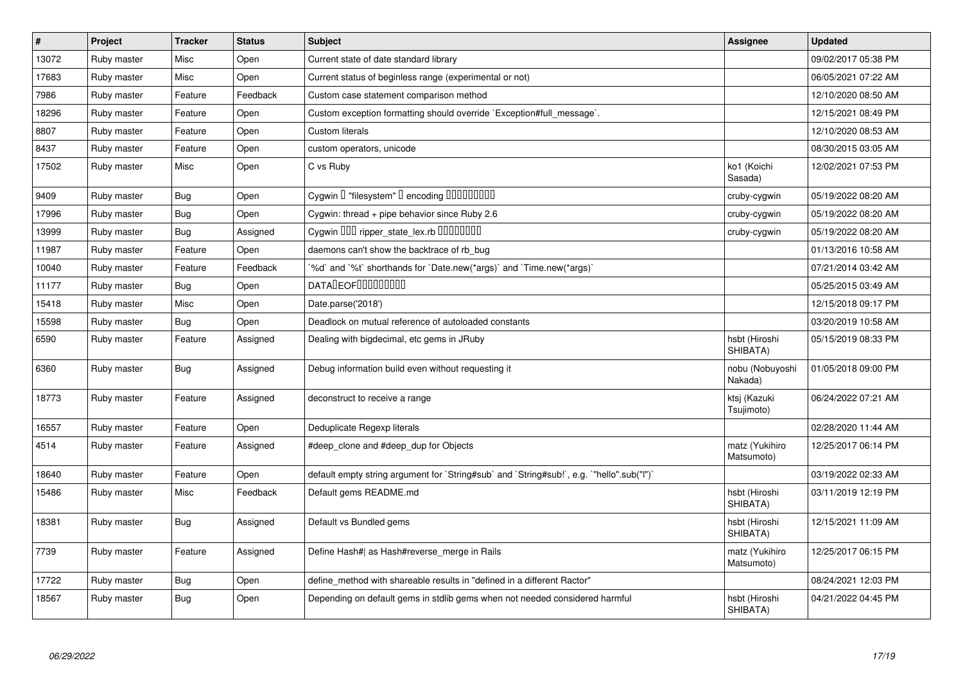| $\vert$ # | <b>Project</b> | <b>Tracker</b> | <b>Status</b> | <b>Subject</b>                                                                            | Assignee                     | <b>Updated</b>      |
|-----------|----------------|----------------|---------------|-------------------------------------------------------------------------------------------|------------------------------|---------------------|
| 13072     | Ruby master    | Misc           | Open          | Current state of date standard library                                                    |                              | 09/02/2017 05:38 PM |
| 17683     | Ruby master    | Misc           | Open          | Current status of beginless range (experimental or not)                                   |                              | 06/05/2021 07:22 AM |
| 7986      | Ruby master    | Feature        | Feedback      | Custom case statement comparison method                                                   |                              | 12/10/2020 08:50 AM |
| 18296     | Ruby master    | Feature        | Open          | Custom exception formatting should override `Exception#full_message`.                     |                              | 12/15/2021 08:49 PM |
| 8807      | Ruby master    | Feature        | Open          | Custom literals                                                                           |                              | 12/10/2020 08:53 AM |
| 8437      | Ruby master    | Feature        | Open          | custom operators, unicode                                                                 |                              | 08/30/2015 03:05 AM |
| 17502     | Ruby master    | Misc           | Open          | C vs Ruby                                                                                 | ko1 (Koichi<br>Sasada)       | 12/02/2021 07:53 PM |
| 9409      | Ruby master    | <b>Bug</b>     | Open          | Cygwin I "filesystem" I encoding IIIIIIIIIIII                                             | cruby-cygwin                 | 05/19/2022 08:20 AM |
| 17996     | Ruby master    | <b>Bug</b>     | Open          | Cygwin: thread + pipe behavior since Ruby 2.6                                             | cruby-cygwin                 | 05/19/2022 08:20 AM |
| 13999     | Ruby master    | Bug            | Assigned      | Cygwin OOD ripper state lex.rb 0000000                                                    | cruby-cygwin                 | 05/19/2022 08:20 AM |
| 11987     | Ruby master    | Feature        | Open          | daemons can't show the backtrace of rb_bug                                                |                              | 01/13/2016 10:58 AM |
| 10040     | Ruby master    | Feature        | Feedback      | %d' and '%t' shorthands for 'Date.new(*args)' and 'Time.new(*args)'                       |                              | 07/21/2014 03:42 AM |
| 11177     | Ruby master    | <b>Bug</b>     | Open          | <b>DATALEOFILILILILILI</b>                                                                |                              | 05/25/2015 03:49 AM |
| 15418     | Ruby master    | Misc           | Open          | Date.parse('2018')                                                                        |                              | 12/15/2018 09:17 PM |
| 15598     | Ruby master    | <b>Bug</b>     | Open          | Deadlock on mutual reference of autoloaded constants                                      |                              | 03/20/2019 10:58 AM |
| 6590      | Ruby master    | Feature        | Assigned      | Dealing with bigdecimal, etc gems in JRuby                                                | hsbt (Hiroshi<br>SHIBATA)    | 05/15/2019 08:33 PM |
| 6360      | Ruby master    | <b>Bug</b>     | Assigned      | Debug information build even without requesting it                                        | nobu (Nobuyoshi<br>Nakada)   | 01/05/2018 09:00 PM |
| 18773     | Ruby master    | Feature        | Assigned      | deconstruct to receive a range                                                            | ktsj (Kazuki<br>Tsujimoto)   | 06/24/2022 07:21 AM |
| 16557     | Ruby master    | Feature        | Open          | Deduplicate Regexp literals                                                               |                              | 02/28/2020 11:44 AM |
| 4514      | Ruby master    | Feature        | Assigned      | #deep clone and #deep dup for Objects                                                     | matz (Yukihiro<br>Matsumoto) | 12/25/2017 06:14 PM |
| 18640     | Ruby master    | Feature        | Open          | default empty string argument for `String#sub` and `String#sub!`, e.g. `"hello".sub("I")` |                              | 03/19/2022 02:33 AM |
| 15486     | Ruby master    | Misc           | Feedback      | Default gems README.md                                                                    | hsbt (Hiroshi<br>SHIBATA)    | 03/11/2019 12:19 PM |
| 18381     | Ruby master    | Bug            | Assigned      | Default vs Bundled gems                                                                   | hsbt (Hiroshi<br>SHIBATA)    | 12/15/2021 11:09 AM |
| 7739      | Ruby master    | Feature        | Assigned      | Define Hash#  as Hash#reverse merge in Rails                                              | matz (Yukihiro<br>Matsumoto) | 12/25/2017 06:15 PM |
| 17722     | Ruby master    | <b>Bug</b>     | Open          | define method with shareable results in "defined in a different Ractor"                   |                              | 08/24/2021 12:03 PM |
| 18567     | Ruby master    | Bug            | Open          | Depending on default gems in stdlib gems when not needed considered harmful               | hsbt (Hiroshi<br>SHIBATA)    | 04/21/2022 04:45 PM |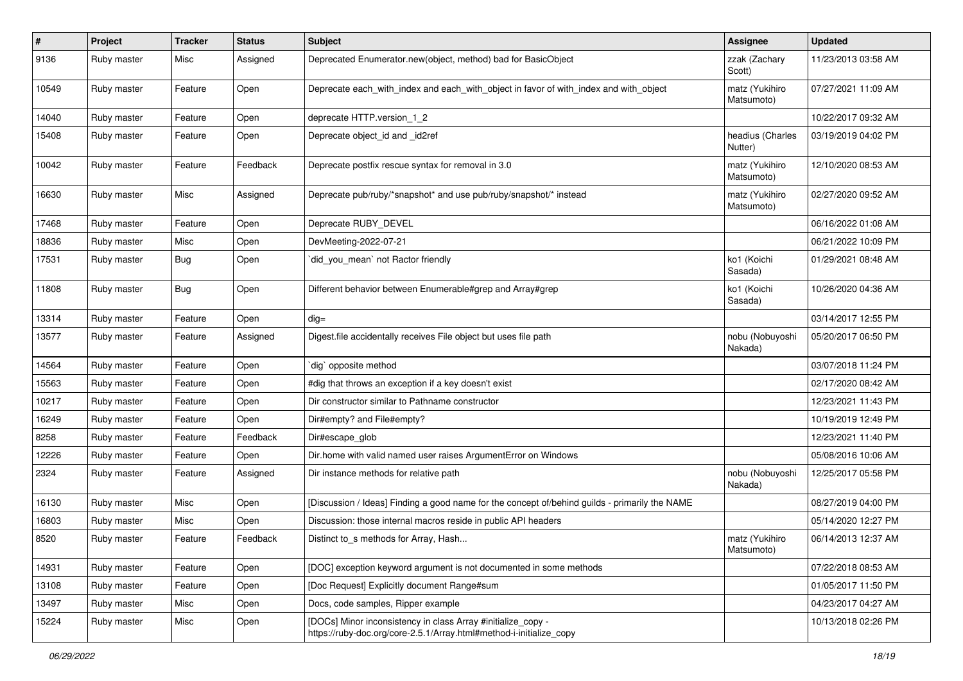| #     | Project     | <b>Tracker</b> | <b>Status</b> | <b>Subject</b>                                                                                                                      | Assignee                     | <b>Updated</b>      |
|-------|-------------|----------------|---------------|-------------------------------------------------------------------------------------------------------------------------------------|------------------------------|---------------------|
| 9136  | Ruby master | Misc           | Assigned      | Deprecated Enumerator.new(object, method) bad for BasicObject                                                                       | zzak (Zachary<br>Scott)      | 11/23/2013 03:58 AM |
| 10549 | Ruby master | Feature        | Open          | Deprecate each_with_index and each_with_object in favor of with_index and with_object                                               | matz (Yukihiro<br>Matsumoto) | 07/27/2021 11:09 AM |
| 14040 | Ruby master | Feature        | Open          | deprecate HTTP.version_1_2                                                                                                          |                              | 10/22/2017 09:32 AM |
| 15408 | Ruby master | Feature        | Open          | Deprecate object id and id2ref                                                                                                      | headius (Charles<br>Nutter)  | 03/19/2019 04:02 PM |
| 10042 | Ruby master | Feature        | Feedback      | Deprecate postfix rescue syntax for removal in 3.0                                                                                  | matz (Yukihiro<br>Matsumoto) | 12/10/2020 08:53 AM |
| 16630 | Ruby master | Misc           | Assigned      | Deprecate pub/ruby/*snapshot* and use pub/ruby/snapshot/* instead                                                                   | matz (Yukihiro<br>Matsumoto) | 02/27/2020 09:52 AM |
| 17468 | Ruby master | Feature        | Open          | Deprecate RUBY_DEVEL                                                                                                                |                              | 06/16/2022 01:08 AM |
| 18836 | Ruby master | Misc           | Open          | DevMeeting-2022-07-21                                                                                                               |                              | 06/21/2022 10:09 PM |
| 17531 | Ruby master | Bug            | Open          | did_you_mean` not Ractor friendly                                                                                                   | ko1 (Koichi<br>Sasada)       | 01/29/2021 08:48 AM |
| 11808 | Ruby master | Bug            | Open          | Different behavior between Enumerable#grep and Array#grep                                                                           | ko1 (Koichi<br>Sasada)       | 10/26/2020 04:36 AM |
| 13314 | Ruby master | Feature        | Open          | $dig =$                                                                                                                             |                              | 03/14/2017 12:55 PM |
| 13577 | Ruby master | Feature        | Assigned      | Digest file accidentally receives File object but uses file path                                                                    | nobu (Nobuyoshi<br>Nakada)   | 05/20/2017 06:50 PM |
| 14564 | Ruby master | Feature        | Open          | dig` opposite method                                                                                                                |                              | 03/07/2018 11:24 PM |
| 15563 | Ruby master | Feature        | Open          | #dig that throws an exception if a key doesn't exist                                                                                |                              | 02/17/2020 08:42 AM |
| 10217 | Ruby master | Feature        | Open          | Dir constructor similar to Pathname constructor                                                                                     |                              | 12/23/2021 11:43 PM |
| 16249 | Ruby master | Feature        | Open          | Dir#empty? and File#empty?                                                                                                          |                              | 10/19/2019 12:49 PM |
| 8258  | Ruby master | Feature        | Feedback      | Dir#escape_glob                                                                                                                     |                              | 12/23/2021 11:40 PM |
| 12226 | Ruby master | Feature        | Open          | Dir.home with valid named user raises ArgumentError on Windows                                                                      |                              | 05/08/2016 10:06 AM |
| 2324  | Ruby master | Feature        | Assigned      | Dir instance methods for relative path                                                                                              | nobu (Nobuyoshi<br>Nakada)   | 12/25/2017 05:58 PM |
| 16130 | Ruby master | Misc           | Open          | [Discussion / Ideas] Finding a good name for the concept of/behind guilds - primarily the NAME                                      |                              | 08/27/2019 04:00 PM |
| 16803 | Ruby master | Misc           | Open          | Discussion: those internal macros reside in public API headers                                                                      |                              | 05/14/2020 12:27 PM |
| 8520  | Ruby master | Feature        | Feedback      | Distinct to_s methods for Array, Hash                                                                                               | matz (Yukihiro<br>Matsumoto) | 06/14/2013 12:37 AM |
| 14931 | Ruby master | Feature        | Open          | [DOC] exception keyword argument is not documented in some methods                                                                  |                              | 07/22/2018 08:53 AM |
| 13108 | Ruby master | Feature        | Open          | [Doc Request] Explicitly document Range#sum                                                                                         |                              | 01/05/2017 11:50 PM |
| 13497 | Ruby master | Misc           | Open          | Docs, code samples, Ripper example                                                                                                  |                              | 04/23/2017 04:27 AM |
| 15224 | Ruby master | Misc           | Open          | [DOCs] Minor inconsistency in class Array #initialize_copy -<br>https://ruby-doc.org/core-2.5.1/Array.html#method-i-initialize_copy |                              | 10/13/2018 02:26 PM |